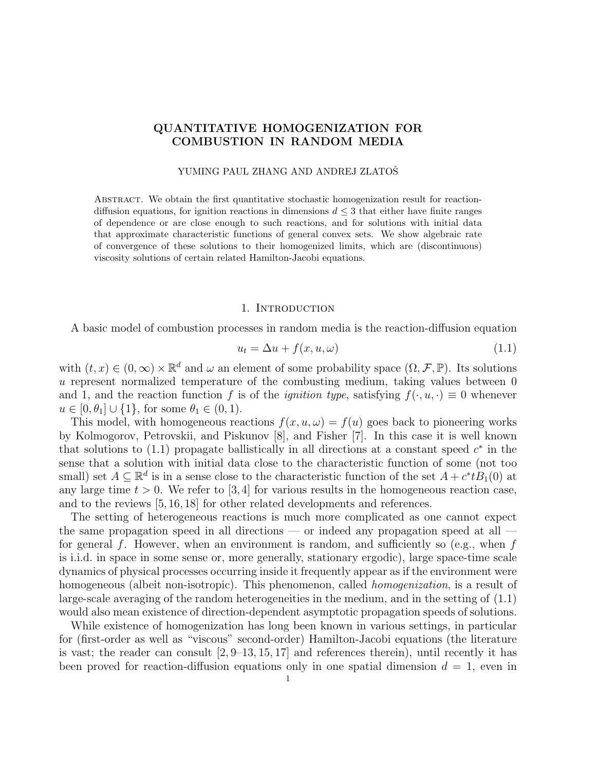# QUANTITATIVE HOMOGENIZATION FOR COMBUSTION IN RANDOM MEDIA

### YUMING PAUL ZHANG AND ANDREJ ZLATOŠ

Abstract. We obtain the first quantitative stochastic homogenization result for reactiondiffusion equations, for ignition reactions in dimensions  $d \leq 3$  that either have finite ranges of dependence or are close enough to such reactions, and for solutions with initial data that approximate characteristic functions of general convex sets. We show algebraic rate of convergence of these solutions to their homogenized limits, which are (discontinuous) viscosity solutions of certain related Hamilton-Jacobi equations.

#### 1. INTRODUCTION

A basic model of combustion processes in random media is the reaction-diffusion equation

$$
u_t = \Delta u + f(x, u, \omega) \tag{1.1}
$$

with  $(t, x) \in (0, \infty) \times \mathbb{R}^d$  and  $\omega$  an element of some probability space  $(\Omega, \mathcal{F}, \mathbb{P})$ . Its solutions  $u$  represent normalized temperature of the combusting medium, taking values between  $0$ and 1, and the reaction function f is of the *ignition type*, satisfying  $f(\cdot, u, \cdot) \equiv 0$  whenever  $u \in [0, \theta_1] \cup \{1\}$ , for some  $\theta_1 \in (0, 1)$ .

This model, with homogeneous reactions  $f(x, u, \omega) = f(u)$  goes back to pioneering works by Kolmogorov, Petrovskii, and Piskunov [8], and Fisher [7]. In this case it is well known that solutions to  $(1.1)$  propagate ballistically in all directions at a constant speed  $c^*$  in the sense that a solution with initial data close to the characteristic function of some (not too small) set  $A \subseteq \mathbb{R}^d$  is in a sense close to the characteristic function of the set  $A + c^* t B_1(0)$  at any large time  $t > 0$ . We refer to [3,4] for various results in the homogeneous reaction case, and to the reviews [5, 16, 18] for other related developments and references.

The setting of heterogeneous reactions is much more complicated as one cannot expect the same propagation speed in all directions — or indeed any propagation speed at all for general f. However, when an environment is random, and sufficiently so (e.g., when  $f$ is i.i.d. in space in some sense or, more generally, stationary ergodic), large space-time scale dynamics of physical processes occurring inside it frequently appear as if the environment were homogeneous (albeit non-isotropic). This phenomenon, called *homogenization*, is a result of large-scale averaging of the random heterogeneities in the medium, and in the setting of (1.1) would also mean existence of direction-dependent asymptotic propagation speeds of solutions.

While existence of homogenization has long been known in various settings, in particular for (first-order as well as "viscous" second-order) Hamilton-Jacobi equations (the literature is vast; the reader can consult  $[2, 9-13, 15, 17]$  and references therein), until recently it has been proved for reaction-diffusion equations only in one spatial dimension  $d = 1$ , even in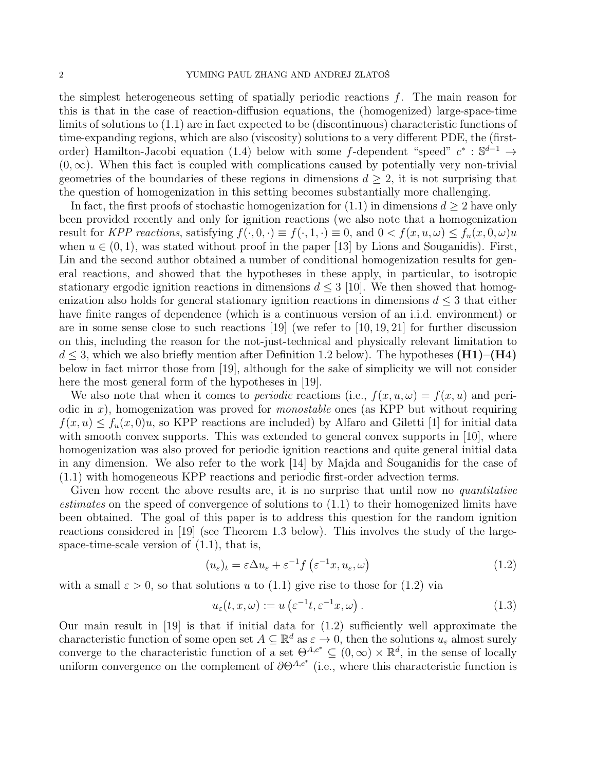the simplest heterogeneous setting of spatially periodic reactions  $f$ . The main reason for this is that in the case of reaction-diffusion equations, the (homogenized) large-space-time limits of solutions to (1.1) are in fact expected to be (discontinuous) characteristic functions of time-expanding regions, which are also (viscosity) solutions to a very different PDE, the (firstorder) Hamilton-Jacobi equation (1.4) below with some f-dependent "speed"  $c^* : \mathbb{S}^{d-1} \to$  $(0, \infty)$ . When this fact is coupled with complications caused by potentially very non-trivial geometries of the boundaries of these regions in dimensions  $d \geq 2$ , it is not surprising that the question of homogenization in this setting becomes substantially more challenging.

In fact, the first proofs of stochastic homogenization for  $(1.1)$  in dimensions  $d \geq 2$  have only been provided recently and only for ignition reactions (we also note that a homogenization result for KPP reactions, satisfying  $f(\cdot, 0, \cdot) \equiv f(\cdot, 1, \cdot) \equiv 0$ , and  $0 < f(x, u, \omega) \le f_u(x, 0, \omega)u$ when  $u \in (0, 1)$ , was stated without proof in the paper [13] by Lions and Souganidis). First, Lin and the second author obtained a number of conditional homogenization results for general reactions, and showed that the hypotheses in these apply, in particular, to isotropic stationary ergodic ignition reactions in dimensions  $d \leq 3$  [10]. We then showed that homogenization also holds for general stationary ignition reactions in dimensions  $d \leq 3$  that either have finite ranges of dependence (which is a continuous version of an i.i.d. environment) or are in some sense close to such reactions [19] (we refer to [10, 19, 21] for further discussion on this, including the reason for the not-just-technical and physically relevant limitation to  $d \leq 3$ , which we also briefly mention after Definition 1.2 below). The hypotheses (H1)–(H4) below in fact mirror those from [19], although for the sake of simplicity we will not consider here the most general form of the hypotheses in [19].

We also note that when it comes to *periodic* reactions (i.e.,  $f(x, u, \omega) = f(x, u)$  and periodic in x), homogenization was proved for *monostable* ones (as KPP but without requiring  $f(x, u) \leq f_u(x, 0)u$ , so KPP reactions are included) by Alfaro and Giletti [1] for initial data with smooth convex supports. This was extended to general convex supports in [10], where homogenization was also proved for periodic ignition reactions and quite general initial data in any dimension. We also refer to the work [14] by Majda and Souganidis for the case of (1.1) with homogeneous KPP reactions and periodic first-order advection terms.

Given how recent the above results are, it is no surprise that until now no *quantitative* estimates on the speed of convergence of solutions to (1.1) to their homogenized limits have been obtained. The goal of this paper is to address this question for the random ignition reactions considered in [19] (see Theorem 1.3 below). This involves the study of the largespace-time-scale version of (1.1), that is,

$$
(u_{\varepsilon})_t = \varepsilon \Delta u_{\varepsilon} + \varepsilon^{-1} f\left(\varepsilon^{-1} x, u_{\varepsilon}, \omega\right) \tag{1.2}
$$

with a small  $\varepsilon > 0$ , so that solutions u to (1.1) give rise to those for (1.2) via

$$
u_{\varepsilon}(t, x, \omega) := u\left(\varepsilon^{-1}t, \varepsilon^{-1}x, \omega\right). \tag{1.3}
$$

Our main result in [19] is that if initial data for (1.2) sufficiently well approximate the characteristic function of some open set  $A \subseteq \mathbb{R}^d$  as  $\varepsilon \to 0$ , then the solutions  $u_{\varepsilon}$  almost surely converge to the characteristic function of a set  $\Theta^{A,c^*} \subseteq (0,\infty) \times \mathbb{R}^d$ , in the sense of locally uniform convergence on the complement of  $\partial \Theta^{A,c^*}$  (i.e., where this characteristic function is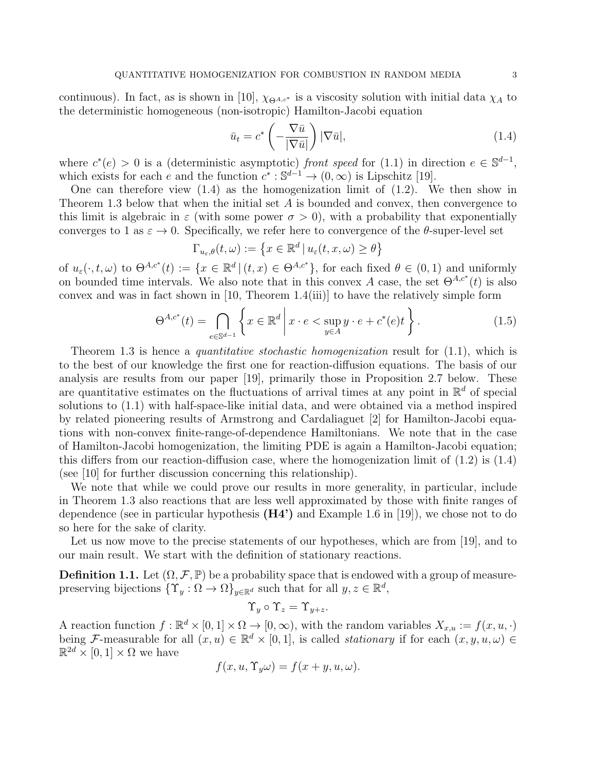continuous). In fact, as is shown in [10],  $\chi_{\Theta^{A,c^*}}$  is a viscosity solution with initial data  $\chi_A$  to the deterministic homogeneous (non-isotropic) Hamilton-Jacobi equation

$$
\bar{u}_t = c^* \left( -\frac{\nabla \bar{u}}{|\nabla \bar{u}|} \right) |\nabla \bar{u}|,\tag{1.4}
$$

where  $c^*(e) > 0$  is a (deterministic asymptotic) front speed for (1.1) in direction  $e \in \mathbb{S}^{d-1}$ , which exists for each e and the function  $c^* : \mathbb{S}^{d-1} \to (0,\infty)$  is Lipschitz [19].

One can therefore view  $(1.4)$  as the homogenization limit of  $(1.2)$ . We then show in Theorem 1.3 below that when the initial set  $A$  is bounded and convex, then convergence to this limit is algebraic in  $\varepsilon$  (with some power  $\sigma > 0$ ), with a probability that exponentially converges to 1 as  $\varepsilon \to 0$ . Specifically, we refer here to convergence of the  $\theta$ -super-level set

$$
\Gamma_{u_{\varepsilon},\theta}(t,\omega) := \left\{ x \in \mathbb{R}^d \, | \, u_{\varepsilon}(t,x,\omega) \geq \theta \right\}
$$

of  $u_{\varepsilon}(\cdot, t, \omega)$  to  $\Theta^{A,c^*}(t) := \{x \in \mathbb{R}^d \mid (t,x) \in \Theta^{A,c^*}\},\$  for each fixed  $\theta \in (0,1)$  and uniformly on bounded time intervals. We also note that in this convex A case, the set  $\Theta^{A,c^*}(t)$  is also convex and was in fact shown in [10, Theorem 1.4(iii)] to have the relatively simple form

$$
\Theta^{A,c^*}(t) = \bigcap_{e \in \mathbb{S}^{d-1}} \left\{ x \in \mathbb{R}^d \, \middle| \, x \cdot e < \sup_{y \in A} y \cdot e + c^*(e)t \right\}. \tag{1.5}
$$

Theorem 1.3 is hence a *quantitative stochastic homogenization* result for  $(1.1)$ , which is to the best of our knowledge the first one for reaction-diffusion equations. The basis of our analysis are results from our paper [19], primarily those in Proposition 2.7 below. These are quantitative estimates on the fluctuations of arrival times at any point in  $\mathbb{R}^d$  of special solutions to (1.1) with half-space-like initial data, and were obtained via a method inspired by related pioneering results of Armstrong and Cardaliaguet [2] for Hamilton-Jacobi equations with non-convex finite-range-of-dependence Hamiltonians. We note that in the case of Hamilton-Jacobi homogenization, the limiting PDE is again a Hamilton-Jacobi equation; this differs from our reaction-diffusion case, where the homogenization limit of  $(1.2)$  is  $(1.4)$ (see [10] for further discussion concerning this relationship).

We note that while we could prove our results in more generality, in particular, include in Theorem 1.3 also reactions that are less well approximated by those with finite ranges of dependence (see in particular hypothesis  $(H4')$  and Example 1.6 in [19]), we chose not to do so here for the sake of clarity.

Let us now move to the precise statements of our hypotheses, which are from [19], and to our main result. We start with the definition of stationary reactions.

**Definition 1.1.** Let  $(\Omega, \mathcal{F}, \mathbb{P})$  be a probability space that is endowed with a group of measurepreserving bijections  $\{\Upsilon_y : \Omega \to \Omega\}_{y \in \mathbb{R}^d}$  such that for all  $y, z \in \mathbb{R}^d$ ,

$$
\Upsilon_y\circ \Upsilon_z=\Upsilon_{y+z}.
$$

A reaction function  $f : \mathbb{R}^d \times [0,1] \times \Omega \to [0,\infty)$ , with the random variables  $X_{x,u} := f(x,u,.)$ being F-measurable for all  $(x, u) \in \mathbb{R}^d \times [0, 1]$ , is called *stationary* if for each  $(x, y, u, \omega) \in$  $\mathbb{R}^{2d} \times [0,1] \times \Omega$  we have

$$
f(x, u, \Upsilon_y \omega) = f(x + y, u, \omega).
$$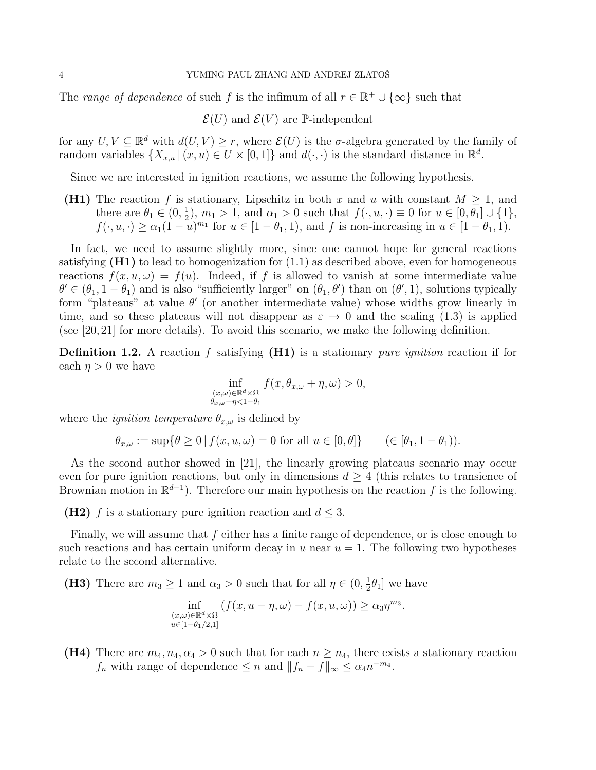The range of dependence of such f is the infimum of all  $r \in \mathbb{R}^+ \cup \{\infty\}$  such that

 $\mathcal{E}(U)$  and  $\mathcal{E}(V)$  are P-independent

for any  $U, V \subseteq \mathbb{R}^d$  with  $d(U, V) \geq r$ , where  $\mathcal{E}(U)$  is the  $\sigma$ -algebra generated by the family of random variables  $\{X_{x,u} | (x,u) \in U \times [0,1]\}$  and  $d(\cdot,\cdot)$  is the standard distance in  $\mathbb{R}^d$ .

Since we are interested in ignition reactions, we assume the following hypothesis.

(H1) The reaction f is stationary, Lipschitz in both x and u with constant  $M \geq 1$ , and there are  $\theta_1 \in (0, \frac{1}{2})$  $\frac{1}{2}$ ,  $m_1 > 1$ , and  $\alpha_1 > 0$  such that  $f(\cdot, u, \cdot) \equiv 0$  for  $u \in [0, \theta_1] \cup \{1\}$ ,  $f(\cdot, u, \cdot) \ge \alpha_1 (1 - u)^{m_1}$  for  $u \in [1 - \theta_1, 1)$ , and f is non-increasing in  $u \in [1 - \theta_1, 1)$ .

In fact, we need to assume slightly more, since one cannot hope for general reactions satisfying  $(H1)$  to lead to homogenization for  $(1.1)$  as described above, even for homogeneous reactions  $f(x, u, \omega) = f(u)$ . Indeed, if f is allowed to vanish at some intermediate value  $\theta' \in (\theta_1, 1 - \theta_1)$  and is also "sufficiently larger" on  $(\theta_1, \theta')$  than on  $(\theta', 1)$ , solutions typically form "plateaus" at value  $\theta'$  (or another intermediate value) whose widths grow linearly in time, and so these plateaus will not disappear as  $\varepsilon \to 0$  and the scaling (1.3) is applied (see [20, 21] for more details). To avoid this scenario, we make the following definition.

**Definition 1.2.** A reaction f satisfying  $(H1)$  is a stationary *pure ignition* reaction if for each  $\eta > 0$  we have

$$
\inf_{\substack{(x,\omega)\in\mathbb{R}^d\times\Omega\\ \theta_{x,\omega}+\eta<1-\theta_1}} f(x,\theta_{x,\omega}+\eta,\omega) > 0,
$$

where the *ignition temperature*  $\theta_{x,\omega}$  is defined by

$$
\theta_{x,\omega} := \sup \{ \theta \ge 0 \mid f(x, u, \omega) = 0 \text{ for all } u \in [0, \theta] \} \qquad (\in [\theta_1, 1 - \theta_1]).
$$

As the second author showed in [21], the linearly growing plateaus scenario may occur even for pure ignition reactions, but only in dimensions  $d \geq 4$  (this relates to transience of Brownian motion in  $\mathbb{R}^{d-1}$ ). Therefore our main hypothesis on the reaction f is the following.

(H2) f is a stationary pure ignition reaction and  $d \leq 3$ .

Finally, we will assume that  $f$  either has a finite range of dependence, or is close enough to such reactions and has certain uniform decay in u near  $u = 1$ . The following two hypotheses relate to the second alternative.

(H3) There are  $m_3 \geq 1$  and  $\alpha_3 > 0$  such that for all  $\eta \in (0, \frac{1}{2})$  $\frac{1}{2}\theta_1$  we have

$$
\inf_{\substack{(x,\omega)\in\mathbb{R}^d\times\Omega\\u\in[1-\theta_1/2,1]}}(f(x,u-\eta,\omega)-f(x,u,\omega))\geq\alpha_3\eta^{m_3}.
$$

(H4) There are  $m_4, n_4, \alpha_4 > 0$  such that for each  $n \geq n_4$ , there exists a stationary reaction  $f_n$  with range of dependence  $\leq n$  and  $||f_n - f||_{\infty} \leq \alpha_4 n^{-m_4}$ .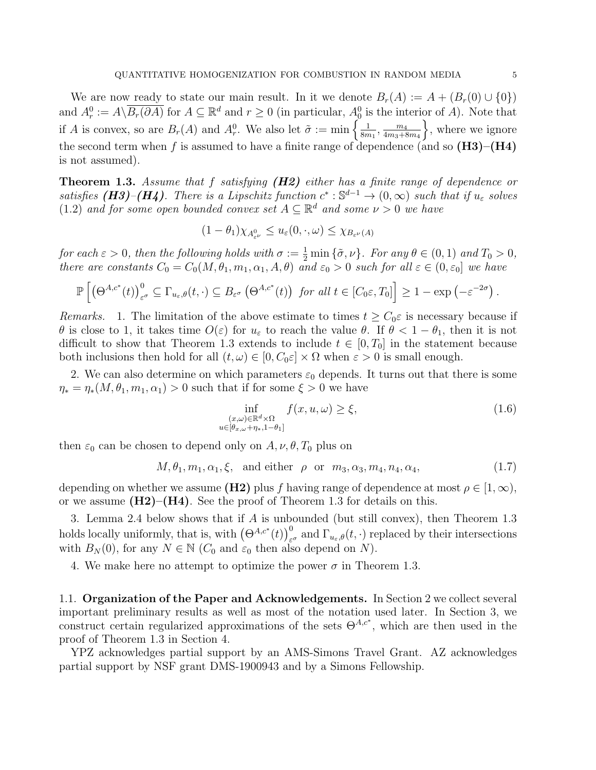We are now ready to state our main result. In it we denote  $B_r(A) := A + (B_r(0) \cup \{0\})$ and  $A_r^0 := A \setminus \overline{B_r(\partial A)}$  for  $A \subseteq \mathbb{R}^d$  and  $r \geq 0$  (in particular,  $A_0^0$  is the interior of A). Note that if A is convex, so are  $B_r(A)$  and  $A_r^0$ . We also let  $\tilde{\sigma} := \min \left\{ \frac{1}{8m} \right\}$  $\frac{1}{8m_1}, \frac{m_4}{4m_3+\delta}$  $_{4m_3+8m_4}$  $\}$ , where we ignore the second term when f is assumed to have a finite range of dependence (and so  $(H3)–(H4)$ ) is not assumed).

**Theorem 1.3.** Assume that f satisfying  $(H2)$  either has a finite range of dependence or satisfies (H3)–(H4). There is a Lipschitz function  $c^*: \mathbb{S}^{d-1} \to (0, \infty)$  such that if  $u_{\varepsilon}$  solves (1.2) and for some open bounded convex set  $A \subseteq \mathbb{R}^d$  and some  $\nu > 0$  we have

$$
(1 - \theta_1) \chi_{A^0_{\varepsilon^\nu}} \le u_\varepsilon(0, \cdot, \omega) \le \chi_{B_{\varepsilon^\nu}(A)}
$$

for each  $\varepsilon > 0$ , then the following holds with  $\sigma := \frac{1}{2} \min \{\tilde{\sigma}, \nu\}$ . For any  $\theta \in (0, 1)$  and  $T_0 > 0$ , there are constants  $C_0 = C_0(M, \theta_1, m_1, \alpha_1, A, \theta)$  and  $\varepsilon_0 > 0$  such for all  $\varepsilon \in (0, \varepsilon_0]$  we have

$$
\mathbb{P}\left[\left(\Theta^{A,c^*}(t)\right)^0_{\varepsilon^\sigma}\subseteq \Gamma_{u_\varepsilon,\theta}(t,\cdot)\subseteq B_{\varepsilon^\sigma}\left(\Theta^{A,c^*}(t)\right)\text{ for all }t\in [C_0\varepsilon,T_0]\right]\geq 1-\exp\left(-\varepsilon^{-2\sigma}\right).
$$

Remarks. 1. The limitation of the above estimate to times  $t \geq C_0 \varepsilon$  is necessary because if θ is close to 1, it takes time  $O(ε)$  for  $u_ε$  to reach the value θ. If  $θ < 1 - θ₁$ , then it is not difficult to show that Theorem 1.3 extends to include  $t \in [0, T_0]$  in the statement because both inclusions then hold for all  $(t, \omega) \in [0, C_0 \varepsilon] \times \Omega$  when  $\varepsilon > 0$  is small enough.

2. We can also determine on which parameters  $\varepsilon_0$  depends. It turns out that there is some  $\eta_* = \eta_*(M, \theta_1, m_1, \alpha_1) > 0$  such that if for some  $\xi > 0$  we have

$$
\inf_{\substack{(x,\omega)\in\mathbb{R}^d\times\Omega\\u\in[\theta_{x,\omega}+\eta_*,1-\theta_1]}} f(x,u,\omega) \ge \xi,\tag{1.6}
$$

then  $\varepsilon_0$  can be chosen to depend only on  $A, \nu, \theta, T_0$  plus on

$$
M, \theta_1, m_1, \alpha_1, \xi, \text{ and either } \rho \text{ or } m_3, \alpha_3, m_4, n_4, \alpha_4,
$$
 (1.7)

depending on whether we assume  $(H2)$  plus f having range of dependence at most  $\rho \in [1,\infty)$ , or we assume  $(H2)–(H4)$ . See the proof of Theorem 1.3 for details on this.

3. Lemma 2.4 below shows that if A is unbounded (but still convex), then Theorem 1.3 holds locally uniformly, that is, with  $(\Theta^{A,c^*}(t))_{\varepsilon^{\sigma}}^0$  and  $\Gamma_{u_{\varepsilon},\theta}(t,\cdot)$  replaced by their intersections with  $B_N(0)$ , for any  $N \in \mathbb{N}$  ( $C_0$  and  $\varepsilon_0$  then also depend on N).

4. We make here no attempt to optimize the power  $\sigma$  in Theorem 1.3.

1.1. Organization of the Paper and Acknowledgements. In Section 2 we collect several important preliminary results as well as most of the notation used later. In Section 3, we construct certain regularized approximations of the sets  $\Theta^{A,c^*}$ , which are then used in the proof of Theorem 1.3 in Section 4.

YPZ acknowledges partial support by an AMS-Simons Travel Grant. AZ acknowledges partial support by NSF grant DMS-1900943 and by a Simons Fellowship.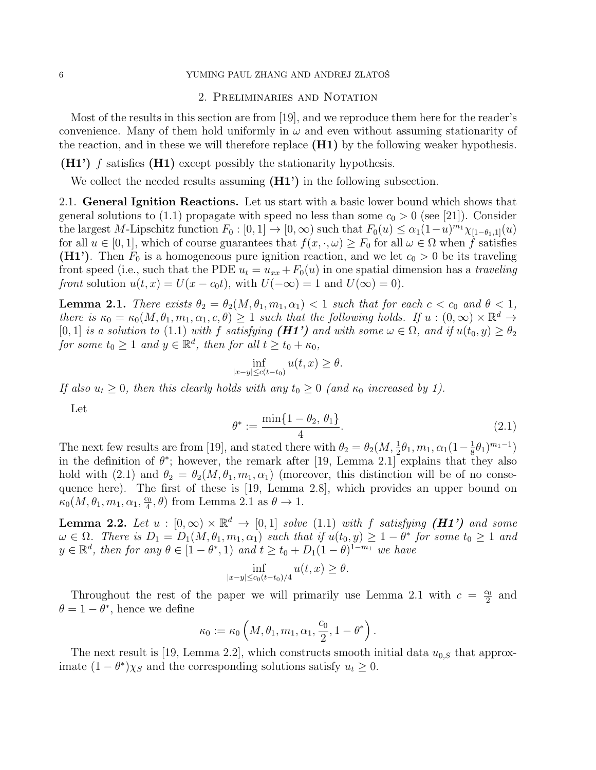### 6 YUMING PAUL ZHANG AND ANDREJ ZLATOŠ

#### 2. Preliminaries and Notation

Most of the results in this section are from [19], and we reproduce them here for the reader's convenience. Many of them hold uniformly in  $\omega$  and even without assuming stationarity of the reaction, and in these we will therefore replace  $(H1)$  by the following weaker hypothesis.

 $(H1')$  f satisfies  $(H1)$  except possibly the stationarity hypothesis.

We collect the needed results assuming  $(H1')$  in the following subsection.

2.1. General Ignition Reactions. Let us start with a basic lower bound which shows that general solutions to (1.1) propagate with speed no less than some  $c_0 > 0$  (see [21]). Consider the largest M-Lipschitz function  $F_0 : [0, 1] \to [0, \infty)$  such that  $F_0(u) \leq \alpha_1 (1-u)^{m_1} \chi_{[1-\theta_1, 1]}(u)$ for all  $u \in [0,1]$ , which of course guarantees that  $f(x, \cdot, \omega) \geq F_0$  for all  $\omega \in \Omega$  when f satisfies (H1'). Then  $F_0$  is a homogeneous pure ignition reaction, and we let  $c_0 > 0$  be its traveling front speed (i.e., such that the PDE  $u_t = u_{xx} + F_0(u)$  in one spatial dimension has a traveling front solution  $u(t, x) = U(x - c_0t)$ , with  $U(-\infty) = 1$  and  $U(\infty) = 0$ .

**Lemma 2.1.** There exists  $\theta_2 = \theta_2(M, \theta_1, m_1, \alpha_1) < 1$  such that for each  $c < c_0$  and  $\theta < 1$ , there is  $\kappa_0 = \kappa_0(M, \theta_1, m_1, \alpha_1, c, \theta) \ge 1$  such that the following holds. If  $u : (0, \infty) \times \mathbb{R}^d \to$ [0, 1] is a solution to (1.1) with f satisfying  $(H1')$  and with some  $\omega \in \Omega$ , and if  $u(t_0, y) \ge \theta_2$ for some  $t_0 \geq 1$  and  $y \in \mathbb{R}^d$ , then for all  $t \geq t_0 + \kappa_0$ ,

$$
\inf_{|x-y|\leq c(t-t_0)} u(t,x) \geq \theta.
$$

If also  $u_t \geq 0$ , then this clearly holds with any  $t_0 \geq 0$  (and  $\kappa_0$  increased by 1).

Let

$$
\theta^* := \frac{\min\{1 - \theta_2, \theta_1\}}{4}.\tag{2.1}
$$

The next few results are from [19], and stated there with  $\theta_2 = \theta_2(M, \frac{1}{2}\theta_1, m_1, \alpha_1(1-\frac{1}{8}\theta_2))$  $(\frac{1}{8}\theta_1)^{m_1-1})$ in the definition of  $\theta^*$ ; however, the remark after [19, Lemma 2.1] explains that they also hold with (2.1) and  $\theta_2 = \theta_2(M, \theta_1, m_1, \alpha_1)$  (moreover, this distinction will be of no consequence here). The first of these is [19, Lemma 2.8], which provides an upper bound on  $\kappa_0(M,\theta_1,m_1,\alpha_1,\frac{c_0}{4})$  $\frac{a_0}{4}, \theta$  from Lemma 2.1 as  $\theta \to 1$ .

**Lemma 2.2.** Let  $u : [0, \infty) \times \mathbb{R}^d \to [0, 1]$  solve (1.1) with f satisfying (H1') and some  $\omega \in \Omega$ . There is  $D_1 = D_1(M, \theta_1, m_1, \alpha_1)$  such that if  $u(t_0, y) \geq 1 - \theta^*$  for some  $t_0 \geq 1$  and  $y \in \mathbb{R}^d$ , then for any  $\theta \in [1-\theta^*,1)$  and  $t \ge t_0 + D_1(1-\theta)^{1-m_1}$  we have

$$
\inf_{|x-y|\leq c_0(t-t_0)/4} u(t,x) \geq \theta.
$$

Throughout the rest of the paper we will primarily use Lemma 2.1 with  $c = \frac{c_0}{2}$  $rac{20}{2}$  and  $\theta = 1 - \theta^*$ , hence we define

$$
\kappa_0 := \kappa_0\left(M,\theta_1,m_1,\alpha_1,\frac{c_0}{2},1-\theta^*\right).
$$

The next result is [19, Lemma 2.2], which constructs smooth initial data  $u_{0,S}$  that approximate  $(1 - \theta^*) \chi_S$  and the corresponding solutions satisfy  $u_t \geq 0$ .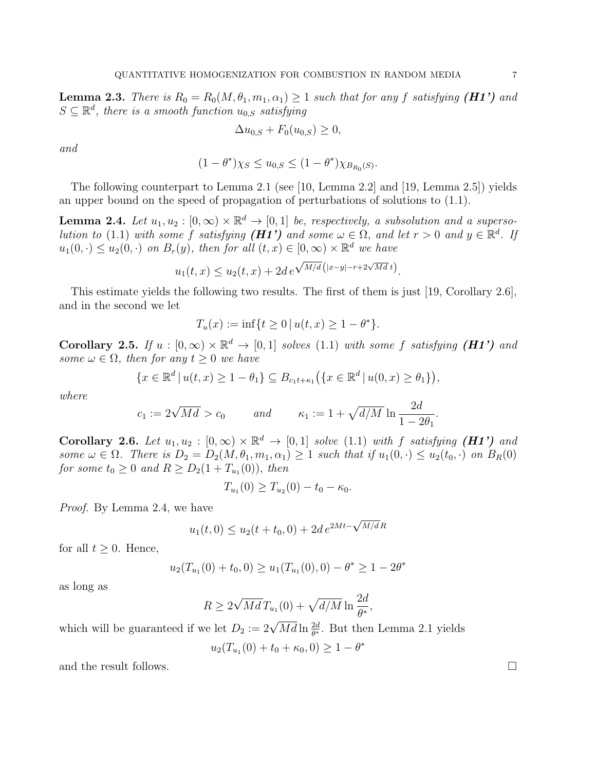**Lemma 2.3.** There is  $R_0 = R_0(M, \theta_1, m_1, \alpha_1) \geq 1$  such that for any f satisfying (*H1'*) and  $S \subseteq \mathbb{R}^d$ , there is a smooth function  $u_{0,S}$  satisfying

$$
\Delta u_{0,S} + F_0(u_{0,S}) \ge 0,
$$

and

$$
(1-\theta^*)\chi_S \le u_{0,S} \le (1-\theta^*)\chi_{B_{R_0}(S)}.
$$

The following counterpart to Lemma 2.1 (see [10, Lemma 2.2] and [19, Lemma 2.5]) yields an upper bound on the speed of propagation of perturbations of solutions to (1.1).

**Lemma 2.4.** Let  $u_1, u_2 : [0, \infty) \times \mathbb{R}^d \to [0, 1]$  be, respectively, a subsolution and a supersolution to (1.1) with some f satisfying ( $H1'$ ) and some  $\omega \in \Omega$ , and let  $r > 0$  and  $y \in \mathbb{R}^d$ . If  $u_1(0,.) \leq u_2(0,.)$  on  $B_r(y)$ , then for all  $(t, x) \in [0, \infty) \times \mathbb{R}^d$  we have

$$
u_1(t, x) \le u_2(t, x) + 2d e^{\sqrt{M/d} (|x-y| - r + 2\sqrt{Md} t)}.
$$

This estimate yields the following two results. The first of them is just [19, Corollary 2.6], and in the second we let

$$
T_u(x) := \inf\{t \ge 0 \, | \, u(t, x) \ge 1 - \theta^*\}.
$$

Corollary 2.5. If  $u : [0, \infty) \times \mathbb{R}^d \to [0, 1]$  solves (1.1) with some f satisfying (H1') and some  $\omega \in \Omega$ , then for any  $t > 0$  we have

$$
\{x \in \mathbb{R}^d \, | \, u(t, x) \ge 1 - \theta_1\} \subseteq B_{c_1 t + \kappa_1} (\{x \in \mathbb{R}^d \, | \, u(0, x) \ge \theta_1\}),
$$

where

$$
c_1 := 2\sqrt{Md} > c_0 \qquad \text{and} \qquad \kappa_1 := 1 + \sqrt{d/M} \ln \frac{2d}{1 - 2\theta_1}
$$

Corollary 2.6. Let  $u_1, u_2 : [0, \infty) \times \mathbb{R}^d \to [0, 1]$  solve (1.1) with f satisfying (H1') and some  $\omega \in \Omega$ . There is  $D_2 = D_2(M, \theta_1, m_1, \alpha_1) \geq 1$  such that if  $u_1(0, \cdot) \leq u_2(t_0, \cdot)$  on  $B_R(0)$ for some  $t_0 \ge 0$  and  $R \ge D_2(1 + T_{u_1}(0)),$  then

$$
T_{u_1}(0) \geq T_{u_2}(0) - t_0 - \kappa_0.
$$

Proof. By Lemma 2.4, we have

$$
u_1(t,0) \le u_2(t+t_0,0) + 2d e^{2Mt - \sqrt{M/d}R}
$$

for all  $t \geq 0$ . Hence,

$$
u_2(T_{u_1}(0) + t_0, 0) \ge u_1(T_{u_1}(0), 0) - \theta^* \ge 1 - 2\theta^*
$$

as long as

$$
R \ge 2\sqrt{Md}T_{u_1}(0) + \sqrt{d/M} \ln\frac{2d}{\theta^*},
$$

which will be guaranteed if we let  $D_2 := 2\sqrt{Md} \ln \frac{2d}{\theta^*}$ . But then Lemma 2.1 yields

$$
u_2(T_{u_1}(0) + t_0 + \kappa_0, 0) \ge 1 - \theta^*
$$

and the result follows.  $\Box$ 

.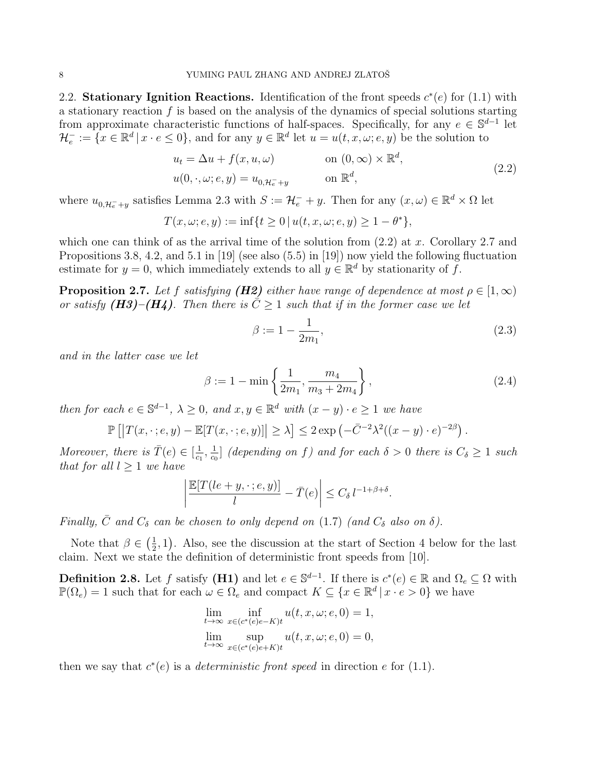2.2. Stationary Ignition Reactions. Identification of the front speeds  $c^*(e)$  for (1.1) with a stationary reaction  $f$  is based on the analysis of the dynamics of special solutions starting from approximate characteristic functions of half-spaces. Specifically, for any  $e \in \mathbb{S}^{d-1}$  let  $\mathcal{H}_e^- := \{x \in \mathbb{R}^d \mid x \cdot e \leq 0\}$ , and for any  $y \in \mathbb{R}^d$  let  $u = u(t, x, \omega; e, y)$  be the solution to

$$
u_t = \Delta u + f(x, u, \omega) \qquad \text{on } (0, \infty) \times \mathbb{R}^d,
$$
  

$$
u(0, \cdot, \omega; e, y) = u_{0, \mathcal{H}_e + y} \qquad \text{on } \mathbb{R}^d,
$$
 (2.2)

where  $u_{0,\mathcal{H}_{e}^{-}+y}$  satisfies Lemma 2.3 with  $S := \mathcal{H}_{e}^{-} + y$ . Then for any  $(x,\omega) \in \mathbb{R}^{d} \times \Omega$  let

$$
T(x, \omega; e, y) := \inf\{t \ge 0 \, | \, u(t, x, \omega; e, y) \ge 1 - \theta^*\},
$$

which one can think of as the arrival time of the solution from  $(2.2)$  at x. Corollary 2.7 and Propositions 3.8, 4.2, and 5.1 in [19] (see also (5.5) in [19]) now yield the following fluctuation estimate for  $y = 0$ , which immediately extends to all  $y \in \mathbb{R}^d$  by stationarity of f.

**Proposition 2.7.** Let f satisfying (H2) either have range of dependence at most  $\rho \in [1,\infty)$ or satisfy (H3)–(H4). Then there is  $\overline{C} \geq 1$  such that if in the former case we let

$$
\beta := 1 - \frac{1}{2m_1},\tag{2.3}
$$

and in the latter case we let

$$
\beta := 1 - \min\left\{\frac{1}{2m_1}, \frac{m_4}{m_3 + 2m_4}\right\},\tag{2.4}
$$

then for each  $e \in \mathbb{S}^{d-1}$ ,  $\lambda \geq 0$ , and  $x, y \in \mathbb{R}^d$  with  $(x - y) \cdot e \geq 1$  we have

$$
\mathbb{P}\left[\left|T(x,\cdot;e,y)-\mathbb{E}[T(x,\cdot;e,y)]\right|\geq \lambda\right]\leq 2\exp\left(-\bar{C}^{-2}\lambda^2((x-y)\cdot e)^{-2\beta}\right).
$$

Moreover, there is  $\bar{T}(e) \in \left[\frac{1}{\epsilon}\right]$  $\frac{1}{c_1}$ ,  $\frac{1}{c_0}$  $\frac{1}{c_0}$  (depending on f) and for each  $\delta > 0$  there is  $C_{\delta} \geq 1$  such that for all  $l > 1$  we have

$$
\left| \frac{\mathbb{E}[T(\{le+y,\cdot\};e,y)]}{l} - \bar{T}(e) \right| \le C_{\delta} \, l^{-1+\beta+\delta}.
$$

Finally,  $\bar{C}$  and  $C_{\delta}$  can be chosen to only depend on (1.7) (and  $C_{\delta}$  also on  $\delta$ ).

Note that  $\beta \in \left(\frac{1}{2}\right)$  $(\frac{1}{2}, 1)$ . Also, see the discussion at the start of Section 4 below for the last claim. Next we state the definition of deterministic front speeds from [10].

**Definition 2.8.** Let f satisfy (**H1**) and let  $e \in \mathbb{S}^{d-1}$ . If there is  $c^*(e) \in \mathbb{R}$  and  $\Omega_e \subseteq \Omega$  with  $\mathbb{P}(\Omega_e) = 1$  such that for each  $\omega \in \Omega_e$  and compact  $K \subseteq \{x \in \mathbb{R}^d \mid x \cdot e > 0\}$  we have

$$
\lim_{t \to \infty} \inf_{x \in (c^*(e)e - K)t} u(t, x, \omega; e, 0) = 1,
$$
  

$$
\lim_{t \to \infty} \sup_{x \in (c^*(e)e + K)t} u(t, x, \omega; e, 0) = 0,
$$

then we say that  $c^*(e)$  is a *deterministic front speed* in direction e for (1.1).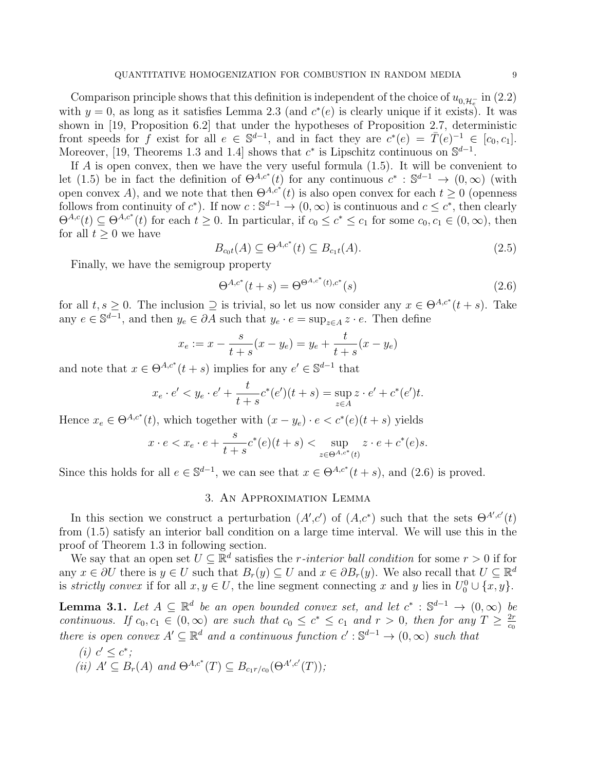Comparison principle shows that this definition is independent of the choice of  $u_{0,\mathcal{H}_{\epsilon}^-}$  in (2.2) with  $y = 0$ , as long as it satisfies Lemma 2.3 (and  $c^*(e)$  is clearly unique if it exists). It was shown in [19, Proposition 6.2] that under the hypotheses of Proposition 2.7, deterministic front speeds for f exist for all  $e \in \mathbb{S}^{d-1}$ , and in fact they are  $c^*(e) = \overline{T}(e)^{-1} \in [c_0, c_1]$ . Moreover, [19, Theorems 1.3 and 1.4] shows that  $c^*$  is Lipschitz continuous on  $\mathbb{S}^{d-1}$ .

If A is open convex, then we have the very useful formula (1.5). It will be convenient to let (1.5) be in fact the definition of  $\Theta^{A,c^*}(t)$  for any continuous  $c^* : \mathbb{S}^{d-1} \to (0,\infty)$  (with open convex A), and we note that then  $\Theta^{A,c^*}(t)$  is also open convex for each  $t \geq 0$  (openness follows from continuity of  $c^*$ ). If now  $c : \mathbb{S}^{d-1} \to (0,\infty)$  is continuous and  $c \leq c^*$ , then clearly  $\Theta^{A,c}(t) \subseteq \Theta^{A,c^*}(t)$  for each  $t \geq 0$ . In particular, if  $c_0 \leq c^* \leq c_1$  for some  $c_0, c_1 \in (0,\infty)$ , then for all  $t > 0$  we have

$$
B_{\rm cot}(A) \subseteq \Theta^{A,c^*}(t) \subseteq B_{c_1t}(A). \tag{2.5}
$$

Finally, we have the semigroup property

$$
\Theta^{A,c^*}(t+s) = \Theta^{\Theta^{A,c^*}(t),c^*}(s)
$$
\n(2.6)

for all  $t, s \geq 0$ . The inclusion  $\supseteq$  is trivial, so let us now consider any  $x \in \Theta^{A,c^*}(t+s)$ . Take any  $e \in \mathbb{S}^{d-1}$ , and then  $y_e \in \partial A$  such that  $y_e \cdot e = \sup_{z \in A} z \cdot e$ . Then define

$$
x_e := x - \frac{s}{t+s}(x - y_e) = y_e + \frac{t}{t+s}(x - y_e)
$$

and note that  $x \in \Theta^{A,c^*}(t+s)$  implies for any  $e' \in \mathbb{S}^{d-1}$  that

$$
x_e \cdot e' < y_e \cdot e' + \frac{t}{t+s} c^*(e')(t+s) = \sup_{z \in A} z \cdot e' + c^*(e')t.
$$

Hence  $x_e \in \Theta^{A,c^*}(t)$ , which together with  $(x - y_e) \cdot e < c^*(e)(t + s)$  yields

$$
x \cdot e < x_e \cdot e + \frac{s}{t+s} c^*(e)(t+s) < \sup_{z \in \Theta^{A,c^*}(t)} z \cdot e + c^*(e)s.
$$

Since this holds for all  $e \in \mathbb{S}^{d-1}$ , we can see that  $x \in \Theta^{A,c^*}(t+s)$ , and  $(2.6)$  is proved.

# 3. An Approximation Lemma

In this section we construct a perturbation  $(A',c')$  of  $(A,c^*)$  such that the sets  $\Theta^{A',c'}(t)$ from (1.5) satisfy an interior ball condition on a large time interval. We will use this in the proof of Theorem 1.3 in following section.

We say that an open set  $U \subseteq \mathbb{R}^d$  satisfies the *r*-interior ball condition for some  $r > 0$  if for any  $x \in \partial U$  there is  $y \in U$  such that  $B_r(y) \subseteq U$  and  $x \in \partial B_r(y)$ . We also recall that  $U \subseteq \mathbb{R}^d$ is strictly convex if for all  $x, y \in U$ , the line segment connecting x and y lies in  $U_0^0 \cup \{x, y\}$ .

**Lemma 3.1.** Let  $A \subseteq \mathbb{R}^d$  be an open bounded convex set, and let  $c^* : \mathbb{S}^{d-1} \to (0, \infty)$  be continuous. If  $c_0, c_1 \in (0, \infty)$  are such that  $c_0 \leq c^* \leq c_1$  and  $r > 0$ , then for any  $T \geq \frac{2r}{c_0}$  $c_0$ there is open convex  $A' \subseteq \mathbb{R}^d$  and a continuous function  $c' : \mathbb{S}^{d-1} \to (0, \infty)$  such that

(i)  $c' \leq c^*$ ; (ii)  $A' \subseteq B_r(A)$  and  $\Theta^{A,c^*}(T) \subseteq B_{c_1 r/c_0}(\Theta^{A',c'}(T));$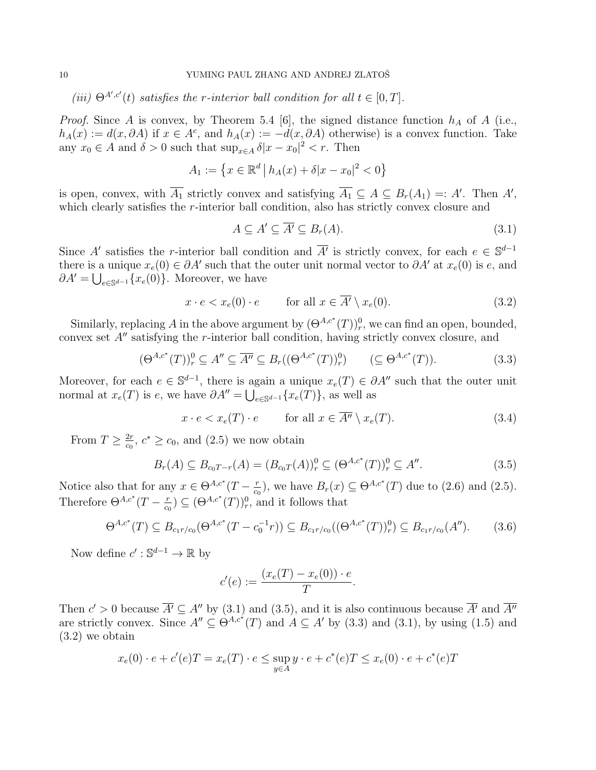(iii)  $\Theta^{A',c'}(t)$  satisfies the r-interior ball condition for all  $t \in [0,T]$ .

*Proof.* Since A is convex, by Theorem 5.4 [6], the signed distance function  $h_A$  of A (i.e.,  $h_A(x) := d(x, \partial A)$  if  $x \in A^c$ , and  $h_A(x) := -d(x, \partial A)$  otherwise) is a convex function. Take any  $x_0 \in A$  and  $\delta > 0$  such that  $\sup_{x \in A} \delta |x - x_0|^2 < r$ . Then

$$
A_1 := \left\{ x \in \mathbb{R}^d \, \big| \, h_A(x) + \delta |x - x_0|^2 < 0 \right\}
$$

is open, convex, with  $\overline{A_1}$  strictly convex and satisfying  $\overline{A_1} \subseteq A \subseteq B_r(A_1) =: A'$ . Then A', which clearly satisfies the r-interior ball condition, also has strictly convex closure and

$$
A \subseteq A' \subseteq \overline{A'} \subseteq B_r(A). \tag{3.1}
$$

Since A' satisfies the r-interior ball condition and  $\overline{A'}$  is strictly convex, for each  $e \in \mathbb{S}^{d-1}$ there is a unique  $x_e(0) \in \partial A'$  such that the outer unit normal vector to  $\partial A'$  at  $x_e(0)$  is e, and  $\partial A' = \bigcup_{e \in \mathbb{S}^{d-1}} \{x_e(0)\}\.$  Moreover, we have

$$
x \cdot e < x_e(0) \cdot e \qquad \text{for all } x \in \overline{A'} \setminus x_e(0). \tag{3.2}
$$

Similarly, replacing A in the above argument by  $(\Theta^{A,c^*}(T))^0_r$ , we can find an open, bounded, convex set  $A''$  satisfying the r-interior ball condition, having strictly convex closure, and

$$
(\Theta^{A,c^*}(T))_r^0 \subseteq A'' \subseteq \overline{A''} \subseteq B_r((\Theta^{A,c^*}(T))_r^0) \qquad (\subseteq \Theta^{A,c^*}(T)).
$$
\n(3.3)

Moreover, for each  $e \in \mathbb{S}^{d-1}$ , there is again a unique  $x_e(T) \in \partial A''$  such that the outer unit normal at  $x_e(T)$  is  $e$ , we have  $\partial A'' = \bigcup_{e \in \mathbb{S}^{d-1}} \{x_e(T)\}\)$ , as well as

$$
x \cdot e < x_e(T) \cdot e \qquad \text{for all } x \in \overline{A''} \setminus x_e(T). \tag{3.4}
$$

From  $T \geq \frac{2r}{c_0}$  $\frac{2r}{c_0}$ ,  $c^* \ge c_0$ , and  $(2.5)$  we now obtain

$$
B_r(A) \subseteq B_{c_0T-r}(A) = (B_{c_0T}(A))^0_r \subseteq (\Theta^{A,c^*}(T))^0_r \subseteq A''.
$$
\n(3.5)

Notice also that for any  $x \in \Theta^{A,c^*}(T - \frac{r}{c}$  $(\frac{r}{c_0})$ , we have  $B_r(x) \subseteq \Theta^{A,c^*}(T)$  due to (2.6) and (2.5). Therefore  $\Theta^{A,c^*}(T-\frac{r}{c}$  $(\frac{r}{c_0}) \subseteq (\Theta^{A,c^*}(T))_r^0$ , and it follows that

$$
\Theta^{A,c^*}(T) \subseteq B_{c_1 r/c_0}(\Theta^{A,c^*}(T-c_0^{-1}r)) \subseteq B_{c_1 r/c_0}((\Theta^{A,c^*}(T))_r^0) \subseteq B_{c_1 r/c_0}(A''). \tag{3.6}
$$

Now define  $c' : \mathbb{S}^{d-1} \to \mathbb{R}$  by

$$
c'(e) := \frac{(x_e(T) - x_e(0)) \cdot e}{T}.
$$

Then  $c' > 0$  because  $\overline{A'} \subseteq A''$  by (3.1) and (3.5), and it is also continuous because  $\overline{A'}$  and  $\overline{A''}$ are strictly convex. Since  $A'' \subseteq \Theta^{A,c^*}(T)$  and  $A \subseteq A'$  by (3.3) and (3.1), by using (1.5) and (3.2) we obtain

$$
x_e(0) \cdot e + c'(e)T = x_e(T) \cdot e \le \sup_{y \in A} y \cdot e + c^*(e)T \le x_e(0) \cdot e + c^*(e)T
$$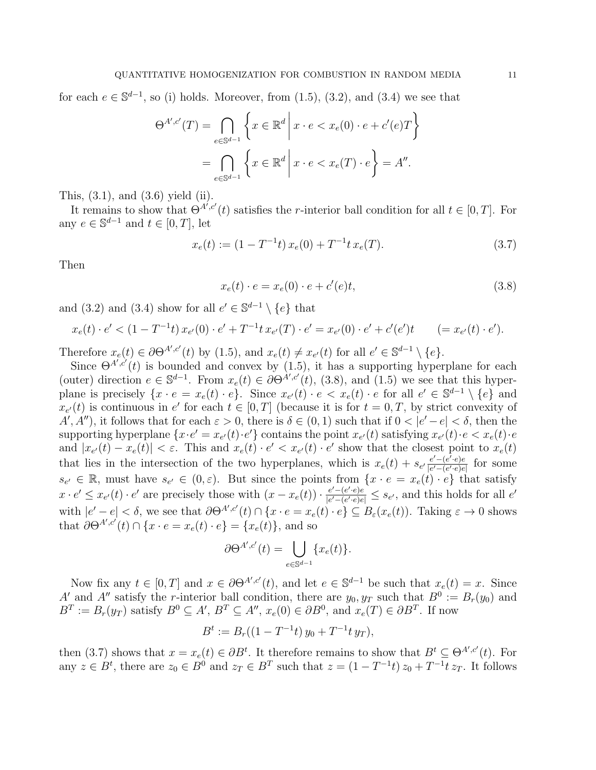for each  $e \in \mathbb{S}^{d-1}$ , so (i) holds. Moreover, from (1.5), (3.2), and (3.4) we see that

$$
\Theta^{A',c'}(T) = \bigcap_{e \in \mathbb{S}^{d-1}} \left\{ x \in \mathbb{R}^d \, \middle| \, x \cdot e < x_e(0) \cdot e + c'(e)T \right\}
$$
\n
$$
= \bigcap_{e \in \mathbb{S}^{d-1}} \left\{ x \in \mathbb{R}^d \, \middle| \, x \cdot e < x_e(T) \cdot e \right\} = A''.
$$

This, (3.1), and (3.6) yield (ii).

It remains to show that  $\Theta^{A',c'}(t)$  satisfies the r-interior ball condition for all  $t \in [0,T]$ . For any  $e \in \mathbb{S}^{d-1}$  and  $t \in [0, T]$ , let

$$
x_e(t) := (1 - T^{-1}t) x_e(0) + T^{-1}t x_e(T).
$$
\n(3.7)

Then

$$
x_e(t) \cdot e = x_e(0) \cdot e + c'(e)t,\tag{3.8}
$$

and (3.2) and (3.4) show for all  $e' \in \mathbb{S}^{d-1} \setminus \{e\}$  that

$$
x_e(t) \cdot e' < (1 - T^{-1}t) \, x_{e'}(0) \cdot e' + T^{-1}t \, x_{e'}(T) \cdot e' = x_{e'}(0) \cdot e' + c'(e')t \qquad (= x_{e'}(t) \cdot e').
$$

Therefore  $x_e(t) \in \partial \Theta^{A',c'}(t)$  by (1.5), and  $x_e(t) \neq x_{e'}(t)$  for all  $e' \in \mathbb{S}^{d-1} \setminus \{e\}.$ 

Since  $\Theta^{A',c'}(t)$  is bounded and convex by (1.5), it has a supporting hyperplane for each (outer) direction  $e \in \mathbb{S}^{d-1}$ . From  $x_e(t) \in \partial \Theta^{A',c'}(t)$ , (3.8), and (1.5) we see that this hyperplane is precisely  $\{x \cdot e = x_e(t) \cdot e\}$ . Since  $x_{e'}(t) \cdot e \langle x_e(t) \cdot e \rangle$  for all  $e' \in \mathbb{S}^{d-1} \setminus \{e\}$  and  $x_{e'}(t)$  is continuous in  $e'$  for each  $t \in [0,T]$  (because it is for  $t = 0,T$ , by strict convexity of  $A', A''$ , it follows that for each  $\varepsilon > 0$ , there is  $\delta \in (0, 1)$  such that if  $0 < |\varepsilon' - \varepsilon| < \delta$ , then the supporting hyperplane  $\{x \cdot e' = x_{e'}(t) \cdot e'\}$  contains the point  $x_{e'}(t)$  satisfying  $x_{e'}(t) \cdot e < x_e(t) \cdot e'$ and  $|x_{e'}(t) - x_e(t)| < \varepsilon$ . This and  $x_e(t) \cdot e' < x_{e'}(t) \cdot e'$  show that the closest point to  $x_e(t)$ that lies in the intersection of the two hyperplanes, which is  $x_e(t) + s_{e'} \frac{e' - (e^t \cdot e)e}{|e' - (e^t \cdot e)e|}$  $\frac{e^{\prime} - (e^{\prime} \cdot e)e}{|e^{\prime} - (e^{\prime} \cdot e)e|}$  for some  $s_{e'} \in \mathbb{R}$ , must have  $s_{e'} \in (0,\varepsilon)$ . But since the points from  $\{x \cdot e = x_e(t) \cdot e\}$  that satisfy  $x \cdot e' \leq x_{e'}(t) \cdot e'$  are precisely those with  $(x - x_e(t)) \cdot \frac{e' - (e' \cdot e)e}{|e' - (e' \cdot e)e|}$  $\frac{e' - (e' \cdot e)e}{|e' - (e' \cdot e)e|} \leq s_{e'}$ , and this holds for all  $e'$ with  $|e'-e| < \delta$ , we see that  $\partial \Theta^{A',c'}(t) \cap \{x \cdot e = x_e(t) \cdot e\} \subseteq B_{\varepsilon}(x_e(t))$ . Taking  $\varepsilon \to 0$  shows that  $\partial \Theta^{A',c'}(t) \cap \{x \cdot e = x_e(t) \cdot e\} = \{x_e(t)\}\text{, and so}$ 

$$
\partial \Theta^{A',c'}(t) = \bigcup_{e \in \mathbb{S}^{d-1}} \{x_e(t)\}.
$$

Now fix any  $t \in [0, T]$  and  $x \in \partial \Theta^{A', c'}(t)$ , and let  $e \in \mathbb{S}^{d-1}$  be such that  $x_e(t) = x$ . Since A' and A'' satisfy the r-interior ball condition, there are  $y_0, y_T$  such that  $B^0 := B_r(y_0)$  and  $B^T := B_r(y_T)$  satisfy  $B^0 \subseteq A', B^T \subseteq A'', x_e(0) \in \partial B^0$ , and  $x_e(T) \in \partial B^T$ . If now

$$
B^t := B_r((1 - T^{-1}t) y_0 + T^{-1}t y_T),
$$

then (3.7) shows that  $x = x_e(t) \in \partial B^t$ . It therefore remains to show that  $B^t \subseteq \Theta^{A',c'}(t)$ . For any  $z \in B^t$ , there are  $z_0 \in B^0$  and  $z_T \in B^T$  such that  $z = (1 - T^{-1}t) z_0 + T^{-1}t z_T$ . It follows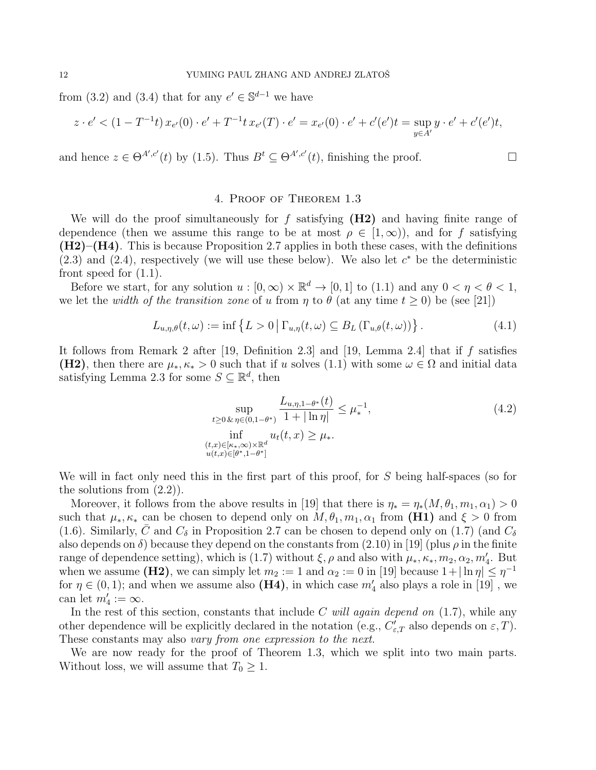from (3.2) and (3.4) that for any  $e' \in \mathbb{S}^{d-1}$  we have

$$
z \cdot e' < (1 - T^{-1}t) \, x_{e'}(0) \cdot e' + T^{-1}t \, x_{e'}(T) \cdot e' = x_{e'}(0) \cdot e' + c'(e')t = \sup_{y \in A'} y \cdot e' + c'(e')t,
$$

and hence  $z \in \Theta^{A',c'}(t)$  by (1.5). Thus  $B^t \subseteq \Theta^{A',c'}(t)$ , finishing the proof.

## 4. Proof of Theorem 1.3

We will do the proof simultaneously for  $f$  satisfying  $(H2)$  and having finite range of dependence (then we assume this range to be at most  $\rho \in [1,\infty)$ ), and for f satisfying  $(H2)$ – $(H4)$ . This is because Proposition 2.7 applies in both these cases, with the definitions  $(2.3)$  and  $(2.4)$ , respectively (we will use these below). We also let  $c^*$  be the deterministic front speed for  $(1.1)$ .

Before we start, for any solution  $u : [0, \infty) \times \mathbb{R}^d \to [0, 1]$  to (1.1) and any  $0 < \eta < \theta < 1$ , we let the *width of the transition zone* of u from  $\eta$  to  $\theta$  (at any time  $t \ge 0$ ) be (see [21])

$$
L_{u,\eta,\theta}(t,\omega) := \inf \left\{ L > 0 \, \middle| \, \Gamma_{u,\eta}(t,\omega) \subseteq B_L \left( \Gamma_{u,\theta}(t,\omega) \right) \right\}. \tag{4.1}
$$

It follows from Remark 2 after [19, Definition 2.3] and [19, Lemma 2.4] that if  $f$  satisfies (H2), then there are  $\mu_*, \kappa_* > 0$  such that if u solves (1.1) with some  $\omega \in \Omega$  and initial data satisfying Lemma 2.3 for some  $S \subseteq \mathbb{R}^d$ , then

$$
\sup_{\substack{t \ge 0 \& \eta \in (0, 1 - \theta^*) \\ \inf_{(t, x) \in [\kappa_*, \infty) \times \mathbb{R}^d \\ u(t, x) \in [\theta^*, 1 - \theta^*]}} \frac{L_{u, \eta, 1 - \theta^*}(t)}{1 + |\ln \eta|} \le \mu_*^{-1},
$$
\n
$$
\inf_{\substack{(t, x) \in [\kappa_*, \infty) \times \mathbb{R}^d \\ u(t, x) \in [\theta^*, 1 - \theta^*]}} \frac{L_{u, \eta, 1 - \theta^*}(t)}{2}
$$
\n(4.2)

We will in fact only need this in the first part of this proof, for S being half-spaces (so for the solutions from (2.2)).

Moreover, it follows from the above results in [19] that there is  $\eta_* = \eta_*(M, \theta_1, m_1, \alpha_1) > 0$ such that  $\mu_*, \kappa_*$  can be chosen to depend only on  $M, \theta_1, m_1, \alpha_1$  from (H1) and  $\xi > 0$  from (1.6). Similarly, C and  $C_{\delta}$  in Proposition 2.7 can be chosen to depend only on (1.7) (and  $C_{\delta}$ also depends on  $\delta$ ) because they depend on the constants from (2.10) in [19] (plus  $\rho$  in the finite range of dependence setting), which is (1.7) without  $\xi, \rho$  and also with  $\mu_*, \kappa_*, m_2, \alpha_2, m_4'$ . But when we assume (H2), we can simply let  $m_2 := 1$  and  $\alpha_2 := 0$  in [19] because  $1 + |\ln \eta| \leq \eta^{-1}$ for  $\eta \in (0,1)$ ; and when we assume also (H4), in which case  $m_4'$  also plays a role in [19], we can let  $m'_4 := \infty$ .

In the rest of this section, constants that include C will again depend on  $(1.7)$ , while any other dependence will be explicitly declared in the notation (e.g.,  $C'_{\varepsilon,T}$  also depends on  $\varepsilon$ , T). These constants may also vary from one expression to the next.

We are now ready for the proof of Theorem 1.3, which we split into two main parts. Without loss, we will assume that  $T_0 \geq 1$ .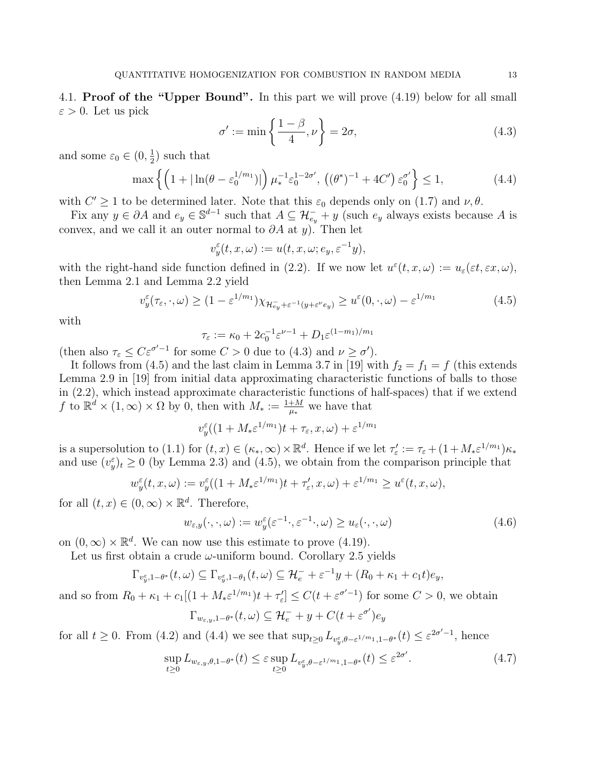4.1. Proof of the "Upper Bound". In this part we will prove (4.19) below for all small  $\varepsilon > 0$ . Let us pick

$$
\sigma' := \min\left\{\frac{1-\beta}{4}, \nu\right\} = 2\sigma,\tag{4.3}
$$

and some  $\varepsilon_0 \in (0, \frac{1}{2})$  $(\frac{1}{2})$  such that

$$
\max\left\{ \left(1 + |\ln(\theta - \varepsilon_0^{1/m_1})|\right) \mu_*^{-1} \varepsilon_0^{1-2\sigma'}, \left((\theta^*)^{-1} + 4C'\right) \varepsilon_0^{\sigma'} \right\} \le 1,\tag{4.4}
$$

with  $C' \geq 1$  to be determined later. Note that this  $\varepsilon_0$  depends only on (1.7) and  $\nu, \theta$ .

Fix any  $y \in \partial A$  and  $e_y \in \mathbb{S}^{d-1}$  such that  $A \subseteq \mathcal{H}_{e_y}^- + y$  (such  $e_y$  always exists because A is convex, and we call it an outer normal to  $\partial A$  at y). Then let

$$
v_y^\varepsilon(t,x,\omega):=u(t,x,\omega;e_y,\varepsilon^{-1}y),
$$

with the right-hand side function defined in (2.2). If we now let  $u^{\varepsilon}(t, x, \omega) := u_{\varepsilon}(\varepsilon t, \varepsilon x, \omega)$ , then Lemma 2.1 and Lemma 2.2 yield

$$
v_y^{\varepsilon}(\tau_{\varepsilon}, \cdot, \omega) \ge (1 - \varepsilon^{1/m_1}) \chi_{\mathcal{H}_{ey}^{-} + \varepsilon^{-1}(y + \varepsilon^{\nu} e_y)} \ge u^{\varepsilon}(0, \cdot, \omega) - \varepsilon^{1/m_1}
$$
(4.5)

with

$$
\tau_{\varepsilon} := \kappa_0 + 2c_0^{-1} \varepsilon^{\nu - 1} + D_1 \varepsilon^{(1 - m_1)/m_1}
$$

(then also  $\tau_{\varepsilon} \leq C \varepsilon^{\sigma'-1}$  for some  $C > 0$  due to (4.3) and  $\nu \geq \sigma'$ ).

It follows from (4.5) and the last claim in Lemma 3.7 in [19] with  $f_2 = f_1 = f$  (this extends Lemma 2.9 in [19] from initial data approximating characteristic functions of balls to those in (2.2), which instead approximate characteristic functions of half-spaces) that if we extend f to  $\mathbb{R}^d \times (1,\infty) \times \Omega$  by 0, then with  $M_* := \frac{1+M}{\mu_*}$  we have that

$$
v_y^{\varepsilon}((1+M_*\varepsilon^{1/m_1})t+\tau_{\varepsilon},x,\omega)+\varepsilon^{1/m_1}
$$

is a supersolution to (1.1) for  $(t, x) \in (\kappa_*, \infty) \times \mathbb{R}^d$ . Hence if we let  $\tau'_\varepsilon := \tau_\varepsilon + (1 + M_* \varepsilon^{1/m_1}) \kappa_*$ and use  $(v_y^{\varepsilon})_t \geq 0$  (by Lemma 2.3) and (4.5), we obtain from the comparison principle that

$$
w_y^{\varepsilon}(t, x, \omega) := v_y^{\varepsilon}((1 + M_* \varepsilon^{1/m_1})t + \tau_{\varepsilon}', x, \omega) + \varepsilon^{1/m_1} \ge u^{\varepsilon}(t, x, \omega),
$$

for all  $(t, x) \in (0, \infty) \times \mathbb{R}^d$ . Therefore,

$$
w_{\varepsilon,y}(\cdot,\cdot,\omega) := w_y^{\varepsilon}(\varepsilon^{-1}\cdot,\varepsilon^{-1}\cdot,\omega) \ge u_{\varepsilon}(\cdot,\cdot,\omega)
$$
\n(4.6)

on  $(0, \infty) \times \mathbb{R}^d$ . We can now use this estimate to prove  $(4.19)$ .

Let us first obtain a crude  $\omega$ -uniform bound. Corollary 2.5 yields

$$
\Gamma_{v_y^{\varepsilon},1-\theta^*}(t,\omega) \subseteq \Gamma_{v_y^{\varepsilon},1-\theta_1}(t,\omega) \subseteq \mathcal{H}_e^- + \varepsilon^{-1}y + (R_0 + \kappa_1 + c_1t)e_y,
$$

and so from  $R_0 + \kappa_1 + c_1[(1 + M_* \varepsilon^{1/m_1})t + \tau_{\varepsilon}'] \leq C(t + \varepsilon^{\sigma'-1})$  for some  $C > 0$ , we obtain

$$
\Gamma_{w_{\varepsilon,y},1-\theta^*}(t,\omega) \subseteq \mathcal{H}_e^- + y + C(t + \varepsilon^{\sigma'})e_y
$$

for all  $t \geq 0$ . From (4.2) and (4.4) we see that  $\sup_{t\geq 0} L_{v_y^{\varepsilon}, \theta-\varepsilon^{1/m_1}, 1-\theta^*}(t) \leq \varepsilon^{2\sigma'-1}$ , hence

$$
\sup_{t\geq 0} L_{w_{\varepsilon,y},\theta,1-\theta^*}(t) \leq \varepsilon \sup_{t\geq 0} L_{v_y^{\varepsilon},\theta-\varepsilon^{1/m_1},1-\theta^*}(t) \leq \varepsilon^{2\sigma'}.
$$
\n(4.7)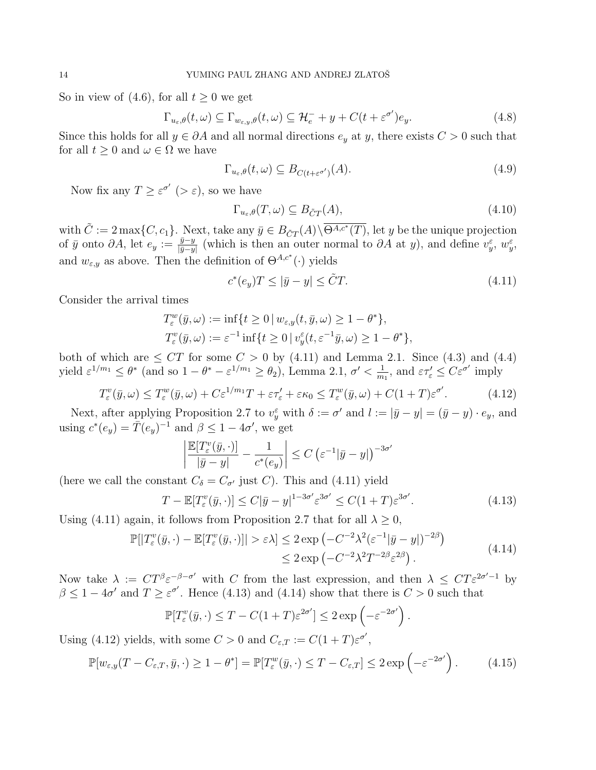So in view of (4.6), for all  $t \geq 0$  we get

$$
\Gamma_{u_{\varepsilon},\theta}(t,\omega) \subseteq \Gamma_{w_{\varepsilon,y},\theta}(t,\omega) \subseteq \mathcal{H}_{e}^{-} + y + C(t + \varepsilon^{\sigma'})e_{y}.
$$
\n(4.8)

Since this holds for all  $y \in \partial A$  and all normal directions  $e_y$  at y, there exists  $C > 0$  such that for all  $t \geq 0$  and  $\omega \in \Omega$  we have

$$
\Gamma_{u_{\varepsilon},\theta}(t,\omega) \subseteq B_{C(t+\varepsilon^{\sigma'})}(A). \tag{4.9}
$$

Now fix any  $T \geq \varepsilon^{\sigma'}$  ( $>\varepsilon$ ), so we have

$$
\Gamma_{u_{\varepsilon},\theta}(T,\omega) \subseteq B_{\tilde{C}T}(A),\tag{4.10}
$$

with  $\tilde{C} := 2 \max\{C, c_1\}$ . Next, take any  $\bar{y} \in B_{\tilde{C}T}(A) \setminus \overline{\Theta^{A,c^*}(T)}$ , let y be the unique projection of  $\bar{y}$  onto  $\partial A$ , let  $e_y := \frac{\bar{y} - y}{\bar{y} - y}$  $\frac{\bar{y}-y}{|\bar{y}-y|}$  (which is then an outer normal to  $\partial A$  at y), and define  $v_y^{\varepsilon}$ ,  $w_y^{\varepsilon}$ , and  $w_{\varepsilon,y}$  as above. Then the definition of  $\Theta^{A,c^*}(\cdot)$  yields

$$
c^*(e_y)T \le |\bar{y} - y| \le \tilde{C}T.
$$
\n(4.11)

Consider the arrival times

$$
T_{\varepsilon}^{w}(\bar{y}, \omega) := \inf\{t \ge 0 \mid w_{\varepsilon, y}(t, \bar{y}, \omega) \ge 1 - \theta^{*}\},
$$
  

$$
T_{\varepsilon}^{v}(\bar{y}, \omega) := \varepsilon^{-1} \inf\{t \ge 0 \mid v_{y}^{\varepsilon}(t, \varepsilon^{-1}\bar{y}, \omega) \ge 1 - \theta^{*}\},
$$

both of which are  $\leq C T$  for some  $C > 0$  by (4.11) and Lemma 2.1. Since (4.3) and (4.4) yield  $\varepsilon^{1/m_1} \leq \theta^*$  (and so  $1 - \theta^* - \varepsilon^{1/m_1} \geq \theta_2$ ), Lemma 2.1,  $\sigma' < \frac{1}{m_1}$  $\frac{1}{m_1}$ , and  $\varepsilon \tau_{\varepsilon} \leq C \varepsilon^{\sigma'}$  imply

$$
T_{\varepsilon}^{v}(\bar{y},\omega) \leq T_{\varepsilon}^{w}(\bar{y},\omega) + C\varepsilon^{1/m_1}T + \varepsilon\tau_{\varepsilon}' + \varepsilon\kappa_0 \leq T_{\varepsilon}^{w}(\bar{y},\omega) + C(1+T)\varepsilon^{\sigma'}.
$$
 (4.12)

Next, after applying Proposition 2.7 to  $v_y^{\varepsilon}$  with  $\delta := \sigma'$  and  $l := |\bar{y} - y| = (\bar{y} - y) \cdot e_y$ , and using  $c^*(e_y) = \overline{T}(e_y)^{-1}$  and  $\beta \leq 1 - 4\sigma'$ , we get

$$
\left| \frac{\mathbb{E}[T_{\varepsilon}^v(\bar{y},\cdot)]}{|\bar{y}-y|} - \frac{1}{c^*(e_y)} \right| \le C \left( \varepsilon^{-1} |\bar{y}-y| \right)^{-3\sigma'}
$$

(here we call the constant  $C_{\delta} = C_{\sigma'}$  just C). This and (4.11) yield

$$
T - \mathbb{E}[T_{\varepsilon}^v(\bar{y}, \cdot)] \le C|\bar{y} - y|^{1 - 3\sigma'} \varepsilon^{3\sigma'} \le C(1 + T)\varepsilon^{3\sigma'}.
$$
\n(4.13)

.

Using (4.11) again, it follows from Proposition 2.7 that for all  $\lambda \geq 0$ ,

$$
\mathbb{P}[|T_{\varepsilon}^{v}(\bar{y},\cdot)-\mathbb{E}[T_{\varepsilon}^{v}(\bar{y},\cdot)]| > \varepsilon\lambda] \leq 2 \exp\left(-C^{-2}\lambda^{2}(\varepsilon^{-1}|\bar{y}-y|)^{-2\beta}\right) \leq 2 \exp\left(-C^{-2}\lambda^{2}T^{-2\beta}\varepsilon^{2\beta}\right).
$$
\n(4.14)

Now take  $\lambda := CT^{\beta} \varepsilon^{-\beta-\sigma'}$  with C from the last expression, and then  $\lambda \leq CT \varepsilon^{2\sigma'-1}$  by  $\beta \leq 1-4\sigma'$  and  $T \geq \varepsilon^{\sigma'}$ . Hence (4.13) and (4.14) show that there is  $C > 0$  such that

$$
\mathbb{P}[T_{\varepsilon}^v(\bar{y},\cdot) \le T - C(1+T)\varepsilon^{2\sigma'}] \le 2\exp\left(-\varepsilon^{-2\sigma'}\right)
$$

Using (4.12) yields, with some  $C > 0$  and  $C_{\varepsilon,T} := C(1+T)\varepsilon^{\sigma'}$ ,

$$
\mathbb{P}[w_{\varepsilon,y}(T - C_{\varepsilon,T}, \bar{y}, \cdot) \ge 1 - \theta^*] = \mathbb{P}[T_{\varepsilon}^w(\bar{y}, \cdot) \le T - C_{\varepsilon,T}] \le 2 \exp\left(-\varepsilon^{-2\sigma'}\right). \tag{4.15}
$$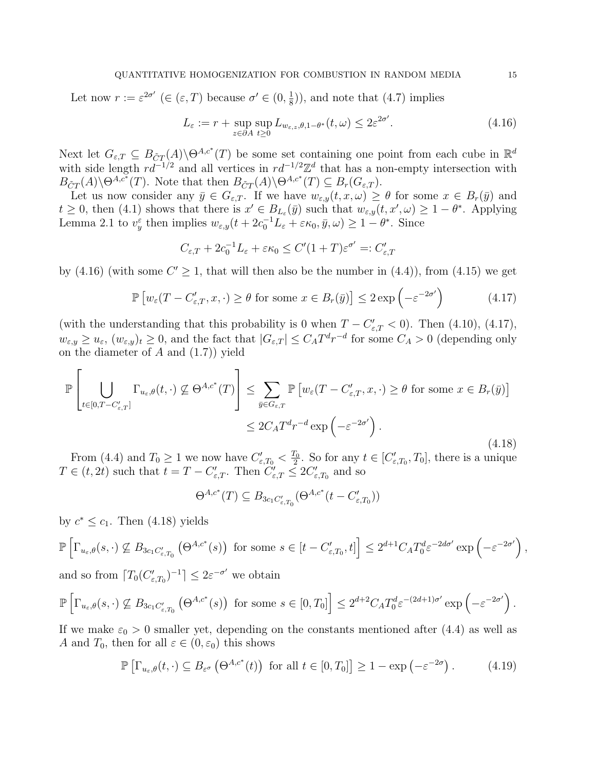Let now  $r := \varepsilon^{2\sigma'} \ (\in (\varepsilon, T) \text{ because } \sigma' \in (0, \frac{1}{8})$  $(\frac{1}{8})$ , and note that  $(4.7)$  implies

$$
L_{\varepsilon} := r + \sup_{z \in \partial A} \sup_{t \ge 0} L_{w_{\varepsilon,z}, \theta, 1 - \theta^*}(t, \omega) \le 2\varepsilon^{2\sigma'}.
$$
 (4.16)

Next let  $G_{\varepsilon,T} \subseteq B_{CT}(A) \backslash \Theta^{A,c^*}(T)$  be some set containing one point from each cube in  $\mathbb{R}^d$ with side length  $rd^{-1/2}$  and all vertices in  $rd^{-1/2}\mathbb{Z}^d$  that has a non-empty intersection with  $B_{\tilde{C}T}(A)\backslash \Theta^{A,c^*}(T)$ . Note that then  $B_{\tilde{C}T}(A)\backslash \Theta^{A,c^*}(T) \subseteq B_r(G_{\varepsilon,T})$ .

Let us now consider any  $\bar{y} \in G_{\varepsilon,T}$ . If we have  $w_{\varepsilon,y}(t,x,\omega) \geq \theta$  for some  $x \in B_r(\bar{y})$  and  $t \geq 0$ , then (4.1) shows that there is  $x' \in B_{L_{\varepsilon}}(\bar{y})$  such that  $w_{\varepsilon,y}(t, x', \omega) \geq 1 - \theta^*$ . Applying Lemma 2.1 to  $v_y^{\varepsilon}$  then implies  $w_{\varepsilon,y}(t+2c_0^{-1}L_{\varepsilon}+\varepsilon\kappa_0,\bar{y},\omega)\geq 1-\theta^*$ . Since

$$
C_{\varepsilon,T} + 2c_0^{-1}L_{\varepsilon} + \varepsilon \kappa_0 \le C'(1+T)\varepsilon^{\sigma'} =: C'_{\varepsilon,T}
$$

by (4.16) (with some  $C' \geq 1$ , that will then also be the number in (4.4)), from (4.15) we get

$$
\mathbb{P}\left[w_{\varepsilon}(T - C'_{\varepsilon,T}, x, \cdot) \ge \theta \text{ for some } x \in B_r(\bar{y})\right] \le 2 \exp\left(-\varepsilon^{-2\sigma'}\right) \tag{4.17}
$$

(with the understanding that this probability is 0 when  $T - C'_{\varepsilon,T} < 0$ ). Then (4.10), (4.17),  $w_{\varepsilon,y} \geq u_{\varepsilon}$ ,  $(w_{\varepsilon,y})_t \geq 0$ , and the fact that  $|G_{\varepsilon,T}| \leq C_A T^d r^{-d}$  for some  $C_A > 0$  (depending only on the diameter of  $A$  and  $(1.7)$  yield

$$
\mathbb{P}\left[\bigcup_{t\in[0,T-C'_{\varepsilon,T}]} \Gamma_{u_{\varepsilon},\theta}(t,\cdot) \not\subseteq \Theta^{A,c^*}(T)\right] \leq \sum_{\bar{y}\in G_{\varepsilon,T}} \mathbb{P}\left[w_{\varepsilon}(T-C'_{\varepsilon,T},x,\cdot)\geq\theta \text{ for some } x\in B_r(\bar{y})\right]
$$

$$
\leq 2C_A T^d r^{-d} \exp\left(-\varepsilon^{-2\sigma'}\right).
$$
\n(4.18)

From (4.4) and  $T_0 \ge 1$  we now have  $C'_{\varepsilon,T_0} < \frac{T_0}{2}$  $\frac{d_0}{2}$ . So for any  $t \in [C'_{\varepsilon,T_0}, T_0]$ , there is a unique  $T \in (t, 2t)$  such that  $t = T - C'_{\varepsilon,T}$ . Then  $\widetilde{C}'_{\varepsilon,T} \leq 2C'_{\varepsilon,T_0}$  and so

$$
\Theta^{A,c^*}(T) \subseteq B_{3c_1C'_{\varepsilon,T_0}}(\Theta^{A,c^*}(t - C'_{\varepsilon,T_0}))
$$

by  $c^* \leq c_1$ . Then (4.18) yields

$$
\mathbb{P}\left[\Gamma_{u_{\varepsilon},\theta}(s,\cdot)\not\subseteq B_{3c_1C'_{\varepsilon,T_0}}\left(\Theta^{A,c^*}(s)\right) \text{ for some } s\in [t-C'_{\varepsilon,T_0},t]\right] \leq 2^{d+1}C_A T_0^d \varepsilon^{-2d\sigma'} \exp\left(-\varepsilon^{-2\sigma'}\right),
$$

and so from  $\lceil T_0(C'_{\varepsilon,T_0})^{-1} \rceil \leq 2\varepsilon^{-\sigma'}$  we obtain

$$
\mathbb{P}\left[\Gamma_{u_{\varepsilon},\theta}(s,\cdot)\not\subseteq B_{3c_1C'_{\varepsilon,T_0}}\left(\Theta^{A,c^*}(s)\right)\text{ for some }s\in[0,T_0]\right] \leq 2^{d+2}C_A T_0^d \varepsilon^{-(2d+1)\sigma'}\exp\left(-\varepsilon^{-2\sigma'}\right).
$$

If we make  $\varepsilon_0 > 0$  smaller yet, depending on the constants mentioned after (4.4) as well as A and  $T_0$ , then for all  $\varepsilon \in (0, \varepsilon_0)$  this shows

$$
\mathbb{P}\left[\Gamma_{u_{\varepsilon},\theta}(t,\cdot)\subseteq B_{\varepsilon^{\sigma}}\left(\Theta^{A,c^*}(t)\right) \text{ for all } t\in[0,T_0]\right] \geq 1 - \exp\left(-\varepsilon^{-2\sigma}\right). \tag{4.19}
$$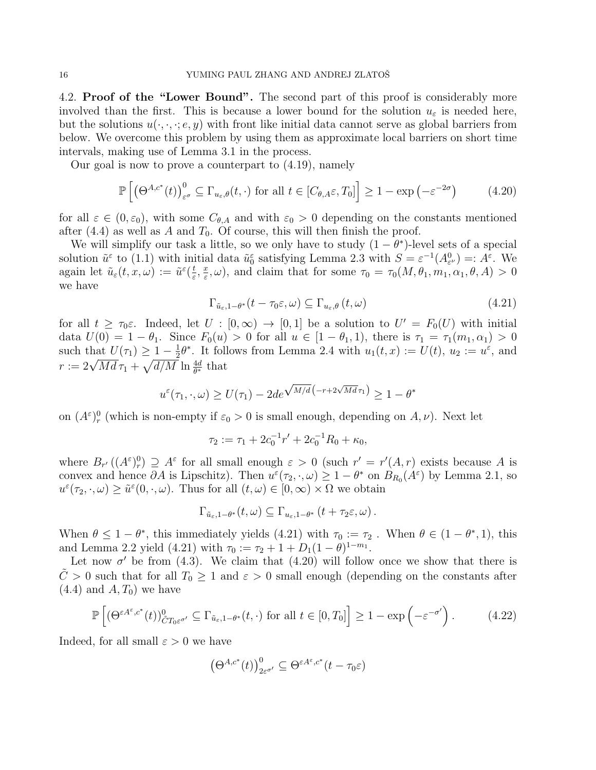4.2. Proof of the "Lower Bound". The second part of this proof is considerably more involved than the first. This is because a lower bound for the solution  $u_{\varepsilon}$  is needed here, but the solutions  $u(\cdot, \cdot, \cdot; e, y)$  with front like initial data cannot serve as global barriers from below. We overcome this problem by using them as approximate local barriers on short time intervals, making use of Lemma 3.1 in the process.

Our goal is now to prove a counterpart to (4.19), namely

$$
\mathbb{P}\left[\left(\Theta^{A,c^*}(t)\right)_{\varepsilon^{\sigma}}^0 \subseteq \Gamma_{u_{\varepsilon},\theta}(t,\cdot) \text{ for all } t \in [C_{\theta,A}\varepsilon,T_0]\right] \ge 1 - \exp\left(-\varepsilon^{-2\sigma}\right) \tag{4.20}
$$

for all  $\varepsilon \in (0,\varepsilon_0)$ , with some  $C_{\theta,A}$  and with  $\varepsilon_0 > 0$  depending on the constants mentioned after (4.4) as well as A and  $T_0$ . Of course, this will then finish the proof.

We will simplify our task a little, so we only have to study  $(1 - \theta^*)$ -level sets of a special solution  $\tilde{u}^{\varepsilon}$  to (1.1) with initial data  $\tilde{u}_{0}^{\varepsilon}$  satisfying Lemma 2.3 with  $S = \varepsilon^{-1}(A_{\varepsilon}^{0}) =: A^{\varepsilon}$ . We again let  $\tilde{u}_{\varepsilon}(t,x,\omega) := \tilde{u}^{\varepsilon}(\frac{t}{\varepsilon})$  $\frac{t}{\varepsilon}, \frac{x}{\varepsilon}$  $(\frac{x}{\varepsilon}, \omega)$ , and claim that for some  $\tau_0 = \tau_0(M, \theta_1, m_1, \alpha_1, \theta, A) > 0$ we have

$$
\Gamma_{\tilde{u}_{\varepsilon},1-\theta^*}(t-\tau_0\varepsilon,\omega)\subseteq\Gamma_{u_{\varepsilon},\theta}(t,\omega)
$$
\n(4.21)

for all  $t \geq \tau_0 \varepsilon$ . Indeed, let  $U : [0, \infty) \to [0, 1]$  be a solution to  $U' = F_0(U)$  with initial data  $U(0) = 1 - \theta_1$ . Since  $F_0(u) > 0$  for all  $u \in [1 - \theta_1, 1)$ , there is  $\tau_1 = \tau_1(m_1, \alpha_1) > 0$ such that  $U(\tau_1) \geq 1 - \frac{1}{2}$  $\frac{1}{2}\theta^*$ . It follows from Lemma 2.4 with  $u_1(t,x) := U(t)$ ,  $u_2 := u^{\varepsilon}$ , and such that  $\upsilon(\tau_1) \geq 1 - \frac{1}{2}\upsilon$ . It form<br>  $r := 2\sqrt{Md} \tau_1 + \sqrt{d/M} \ln \frac{4d}{\theta^*}$  that

$$
u^{\varepsilon}(\tau_1,\cdot,\omega) \ge U(\tau_1) - 2d e^{\sqrt{M/d} \left(-r + 2\sqrt{Md}\tau_1\right)} \ge 1 - \theta^*
$$

on  $(A^{\varepsilon})_r^0$  (which is non-empty if  $\varepsilon_0 > 0$  is small enough, depending on  $A, \nu$ ). Next let

$$
\tau_2 := \tau_1 + 2c_0^{-1}r' + 2c_0^{-1}R_0 + \kappa_0,
$$

where  $B_{r'}((A^{\varepsilon})_r^0) \supseteq A^{\varepsilon}$  for all small enough  $\varepsilon > 0$  (such  $r' = r'(A,r)$  exists because A is convex and hence  $\partial A$  is Lipschitz). Then  $u^{\varepsilon}(\tau_2, \cdot, \omega) \geq 1 - \theta^*$  on  $B_{R_0}(A^{\varepsilon})$  by Lemma 2.1, so  $u^{\varepsilon}(\tau_2, \cdot, \omega) \ge \tilde{u}^{\varepsilon}(0, \cdot, \omega)$ . Thus for all  $(t, \omega) \in [0, \infty) \times \Omega$  we obtain

$$
\Gamma_{\tilde{u}_{\varepsilon},1-\theta^*}(t,\omega)\subseteq\Gamma_{u_{\varepsilon},1-\theta^*}(t+\tau_2\varepsilon,\omega).
$$

When  $\theta \leq 1 - \theta^*$ , this immediately yields (4.21) with  $\tau_0 := \tau_2$ . When  $\theta \in (1 - \theta^*, 1)$ , this and Lemma 2.2 yield (4.21) with  $\tau_0 := \tau_2 + 1 + D_1(1 - \theta)^{1 - m_1}$ .

Let now  $\sigma'$  be from (4.3). We claim that (4.20) will follow once we show that there is  $\tilde{C} > 0$  such that for all  $T_0 \ge 1$  and  $\varepsilon > 0$  small enough (depending on the constants after  $(4.4)$  and  $A, T_0$ ) we have

$$
\mathbb{P}\left[ \left( \Theta^{\varepsilon A^{\varepsilon},c^*}(t) \right)^0_{\tilde{C}T_0\varepsilon^{\sigma'}} \subseteq \Gamma_{\tilde{u}_{\varepsilon},1-\theta^*}(t,\cdot) \text{ for all } t \in [0,T_0] \right] \ge 1 - \exp\left( -\varepsilon^{-\sigma'} \right). \tag{4.22}
$$

Indeed, for all small  $\varepsilon > 0$  we have

$$
\left(\Theta^{A,c^*}(t)\right)_{2\varepsilon^{\sigma'}}^0 \subseteq \Theta^{\varepsilon A^\varepsilon,c^*}(t-\tau_0\varepsilon)
$$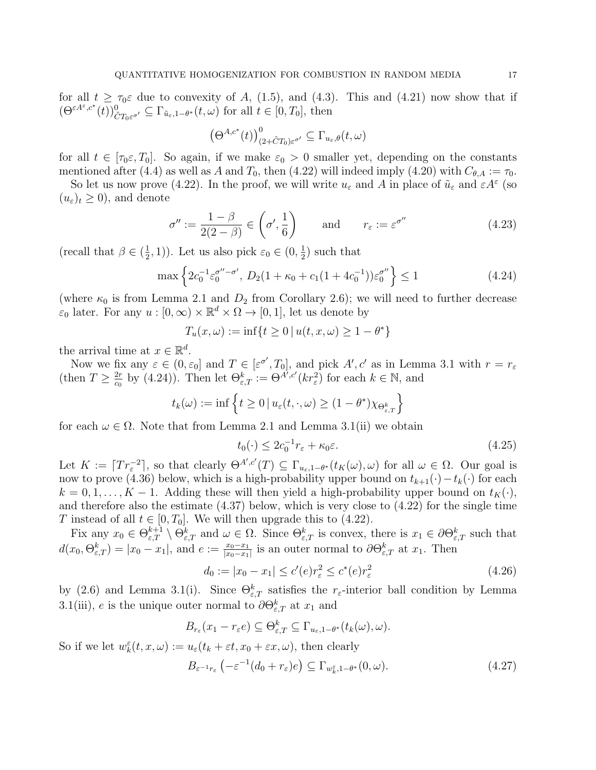for all  $t \geq \tau_0 \varepsilon$  due to convexity of A, (1.5), and (4.3). This and (4.21) now show that if  $(\Theta^{\varepsilon A^{\varepsilon},c^*}(t))_{\tilde{C}T_0\varepsilon^{\sigma'}}^0 \subseteq \Gamma_{\tilde{u}_{\varepsilon},1-\theta^*}(t,\omega)$  for all  $t \in [0,T_0],$  then

$$
\left(\Theta^{A,c^*}(t)\right)^0_{(2+\tilde{C}T_0)\varepsilon^{\sigma'}}\subseteq\Gamma_{u_{\varepsilon},\theta}(t,\omega)
$$

for all  $t \in [\tau_0 \varepsilon, T_0]$ . So again, if we make  $\varepsilon_0 > 0$  smaller yet, depending on the constants mentioned after (4.4) as well as A and  $T_0$ , then (4.22) will indeed imply (4.20) with  $C_{\theta,A} := \tau_0$ .

So let us now prove (4.22). In the proof, we will write  $u_{\varepsilon}$  and A in place of  $\tilde{u}_{\varepsilon}$  and  $\varepsilon A^{\varepsilon}$  (so  $(u_{\varepsilon})_t \geq 0$ , and denote

$$
\sigma'' := \frac{1 - \beta}{2(2 - \beta)} \in \left(\sigma', \frac{1}{6}\right) \quad \text{and} \quad r_{\varepsilon} := \varepsilon^{\sigma''} \tag{4.23}
$$

(recall that  $\beta \in (\frac{1}{2})$  $(\frac{1}{2}, 1)$ ). Let us also pick  $\varepsilon_0 \in (0, \frac{1}{2})$  $(\frac{1}{2})$  such that

$$
\max \left\{ 2c_0^{-1} \varepsilon_0^{\sigma'' - \sigma'}, \ D_2(1 + \kappa_0 + c_1(1 + 4c_0^{-1})) \varepsilon_0^{\sigma''} \right\} \le 1
$$
\n(4.24)

(where  $\kappa_0$  is from Lemma 2.1 and  $D_2$  from Corollary 2.6); we will need to further decrease  $\varepsilon_0$  later. For any  $u : [0, \infty) \times \mathbb{R}^d \times \Omega \to [0, 1]$ , let us denote by

$$
T_u(x,\omega) := \inf\{t \ge 0 \mid u(t,x,\omega) \ge 1 - \theta^*\}
$$

the arrival time at  $x \in \mathbb{R}^d$ .

Now we fix any  $\varepsilon \in (0, \varepsilon_0]$  and  $T \in [\varepsilon^{\sigma'}, T_0]$ , and pick  $A', c'$  as in Lemma 3.1 with  $r = r_{\varepsilon}$ (then  $T \geq \frac{2r}{c_0}$  $\frac{2r}{c_0}$  by (4.24)). Then let  $\Theta_{\varepsilon,T}^k := \Theta^{A',c'}(kr_{\varepsilon}^2)$  for each  $k \in \mathbb{N}$ , and

$$
t_k(\omega) := \inf \left\{ t \ge 0 \, | \, u_\varepsilon(t, \cdot, \omega) \ge (1 - \theta^*) \chi_{\Theta_{\varepsilon,T}^k} \right\}
$$

for each  $\omega \in \Omega$ . Note that from Lemma 2.1 and Lemma 3.1(ii) we obtain

$$
t_0(\cdot) \le 2c_0^{-1}r_{\varepsilon} + \kappa_0\varepsilon. \tag{4.25}
$$

Let  $K := \lceil Tr_{\varepsilon}^{-2} \rceil$ , so that clearly  $\Theta^{A',c'}(T) \subseteq \Gamma_{u_{\varepsilon},1-\theta^*}(t_K(\omega),\omega)$  for all  $\omega \in \Omega$ . Our goal is now to prove (4.36) below, which is a high-probability upper bound on  $t_{k+1}(\cdot) - t_k(\cdot)$  for each  $k = 0, 1, \ldots, K - 1$ . Adding these will then yield a high-probability upper bound on  $t_K(\cdot)$ , and therefore also the estimate (4.37) below, which is very close to (4.22) for the single time T instead of all  $t \in [0, T_0]$ . We will then upgrade this to (4.22).

Fix any  $x_0 \in \Theta_{\varepsilon,T}^{k+1} \setminus \Theta_{\varepsilon,T}^k$  and  $\omega \in \Omega$ . Since  $\Theta_{\varepsilon,T}^k$  is convex, there is  $x_1 \in \partial \Theta_{\varepsilon,T}^k$  such that  $d(x_0, \Theta_{\varepsilon,T}^k) = |x_0 - x_1|$ , and  $e := \frac{x_0 - x_1}{|x_0 - x_1|}$  is an outer normal to  $\partial \Theta_{\varepsilon,T}^k$  at  $x_1$ . Then

$$
d_0 := |x_0 - x_1| \le c'(e)r_{\varepsilon}^2 \le c^*(e)r_{\varepsilon}^2 \tag{4.26}
$$

by (2.6) and Lemma 3.1(i). Since  $\Theta_{\varepsilon,T}^k$  satisfies the  $r_{\varepsilon}$ -interior ball condition by Lemma 3.1(iii), e is the unique outer normal to  $\partial \Theta_{\varepsilon,T}^k$  at  $x_1$  and

$$
B_{r_{\varepsilon}}(x_1-r_{\varepsilon}e)\subseteq \Theta_{\varepsilon,T}^k\subseteq \Gamma_{u_{\varepsilon},1-\theta^*}(t_k(\omega),\omega).
$$

So if we let  $w_k^{\varepsilon}(t, x, \omega) := u_{\varepsilon}(t_k + \varepsilon t, x_0 + \varepsilon x, \omega)$ , then clearly

$$
B_{\varepsilon^{-1}r_{\varepsilon}}\left(-\varepsilon^{-1}(d_0+r_{\varepsilon})e\right) \subseteq \Gamma_{w_{k}^{\varepsilon},1-\theta^{*}}(0,\omega). \tag{4.27}
$$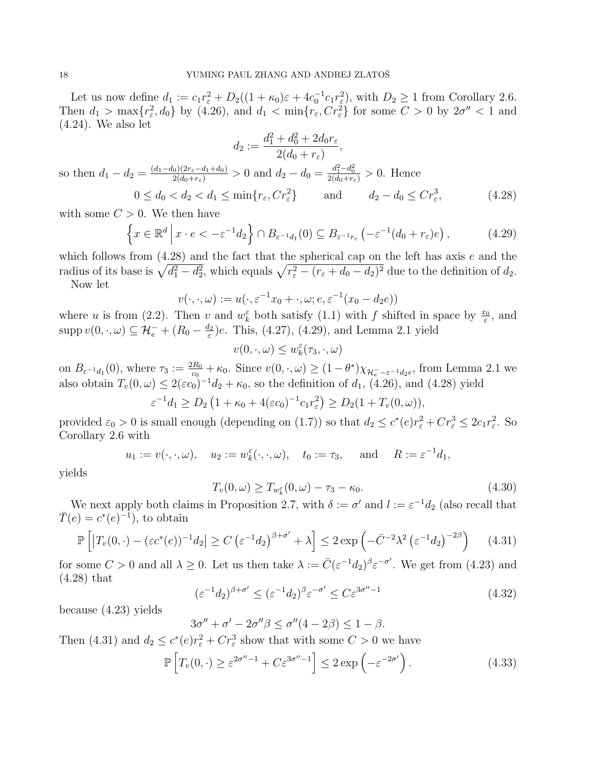Let us now define  $d_1 := c_1 r_{\varepsilon}^2 + D_2((1 + \kappa_0)\varepsilon + 4c_0^{-1}c_1r_{\varepsilon}^2)$ , with  $D_2 \ge 1$  from Corollary 2.6. Then  $d_1 > \max\{r_\varepsilon^2, d_0\}$  by (4.26), and  $d_1 < \min\{r_\varepsilon, Cr_\varepsilon^2\}$  for some  $C > 0$  by  $2\sigma'' < 1$  and (4.24). We also let

$$
d_2 := \frac{d_1^2 + d_0^2 + 2d_0r_{\varepsilon}}{2(d_0 + r_{\varepsilon})},
$$
  
so then  $d_1 - d_2 = \frac{(d_1 - d_0)(2r_{\varepsilon} - d_1 + d_0)}{2(d_0 + r_{\varepsilon})} > 0$  and  $d_2 - d_0 = \frac{d_1^2 - d_0^2}{2(d_0 + r_{\varepsilon})} > 0$ . Hence  
 $0 \le d_0 < d_2 < d_1 \le \min\{r_{\varepsilon}, Cr_{\varepsilon}^2\}$  and  $d_2 - d_0 \le Cr_{\varepsilon}^3$ , (4.28)

with some  $C > 0$ . We then have

$$
\left\{ x \in \mathbb{R}^d \, \middle| \, x \cdot e < -\varepsilon^{-1} d_2 \right\} \cap B_{\varepsilon^{-1} d_1}(0) \subseteq B_{\varepsilon^{-1} r_\varepsilon} \left( -\varepsilon^{-1} (d_0 + r_\varepsilon) e \right),\tag{4.29}
$$

which follows from  $(4.28)$  and the fact that the spherical cap on the left has axis e and the radius of its base is  $\sqrt{d_1^2 - d_2^2}$ , which equals  $\sqrt{r_\varepsilon^2 - (r_\varepsilon + d_0 - d_2)^2}$  due to the definition of  $d_2$ . Now let

$$
v(\cdot,\cdot,\omega) := u(\cdot,\varepsilon^{-1}x_0 + \cdot,\omega;e,\varepsilon^{-1}(x_0 - d_2e))
$$

where u is from (2.2). Then v and  $w_k^{\varepsilon}$  both satisfy (1.1) with f shifted in space by  $\frac{x_0}{\varepsilon}$ , and  $\mathrm{supp} \, v(0, \cdot, \omega) \subseteq \mathcal{H}_e^- + (R_0 - \frac{d_2}{\varepsilon})$  $(\frac{d_2}{\varepsilon})e$ . This, (4.27), (4.29), and Lemma 2.1 yield

$$
v(0, \cdot, \omega) \le w_k^{\varepsilon}(\tau_3, \cdot, \omega)
$$

on  $B_{\varepsilon^{-1}d_1}(0)$ , where  $\tau_3 := \frac{2R_0}{c_0} + \kappa_0$ . Since  $v(0, \cdot, \omega) \ge (1 - \theta^*) \chi_{\mathcal{H}_{\varepsilon} - \varepsilon^{-1}d_2e}$ , from Lemma 2.1 we also obtain  $T_v(0,\omega) \leq 2(\varepsilon c_0)^{-1}d_2 + \kappa_0$ , so the definition of  $d_1$ , (4.26), and (4.28) yield

$$
\varepsilon^{-1}d_1 \ge D_2\left(1 + \kappa_0 + 4(\varepsilon c_0)^{-1}c_1r_\varepsilon^2\right) \ge D_2(1 + T_v(0, \omega)),
$$

provided  $\varepsilon_0 > 0$  is small enough (depending on (1.7)) so that  $d_2 \le c^*(e) r_{\varepsilon}^2 + Cr_{\varepsilon}^3 \le 2c_1r_{\varepsilon}^2$ . So Corollary 2.6 with

$$
u_1 := v(\cdot, \cdot, \omega), \quad u_2 := w_k^{\varepsilon}(\cdot, \cdot, \omega), \quad t_0 := \tau_3, \quad \text{and} \quad R := \varepsilon^{-1} d_1,
$$

yields

$$
T_v(0,\omega) \ge T_{w_k^{\varepsilon}}(0,\omega) - \tau_3 - \kappa_0. \tag{4.30}
$$

We next apply both claims in Proposition 2.7, with  $\delta := \sigma'$  and  $l := \varepsilon^{-1} d_2$  (also recall that  $\overline{T}(e) = c^*(e)^{-1}$ , to obtain

$$
\mathbb{P}\left[\left|T_v(0,\cdot) - (\varepsilon c^*(e))^{-1}d_2\right| \ge C\left(\varepsilon^{-1}d_2\right)^{\beta+\sigma'} + \lambda\right] \le 2\exp\left(-\bar{C}^{-2}\lambda^2\left(\varepsilon^{-1}d_2\right)^{-2\beta}\right) \tag{4.31}
$$

for some  $C > 0$  and all  $\lambda \geq 0$ . Let us then take  $\lambda := \overline{C}(\varepsilon^{-1}d_2)^{\beta} \varepsilon^{-\sigma'}$ . We get from (4.23) and (4.28) that

$$
(\varepsilon^{-1}d_2)^{\beta+\sigma'} \le (\varepsilon^{-1}d_2)^{\beta} \varepsilon^{-\sigma'} \le C\varepsilon^{3\sigma''-1}
$$
\n(4.32)

because (4.23) yields

$$
3\sigma'' + \sigma' - 2\sigma''\beta \le \sigma''(4 - 2\beta) \le 1 - \beta.
$$

Then (4.31) and  $d_2 \leq c^*(e) r_{\varepsilon}^2 + C r_{\varepsilon}^3$  show that with some  $C > 0$  we have

$$
\mathbb{P}\left[T_v(0,\cdot)\geq \varepsilon^{2\sigma''-1}+C\varepsilon^{3\sigma''-1}\right]\leq 2\exp\left(-\varepsilon^{-2\sigma'}\right). \tag{4.33}
$$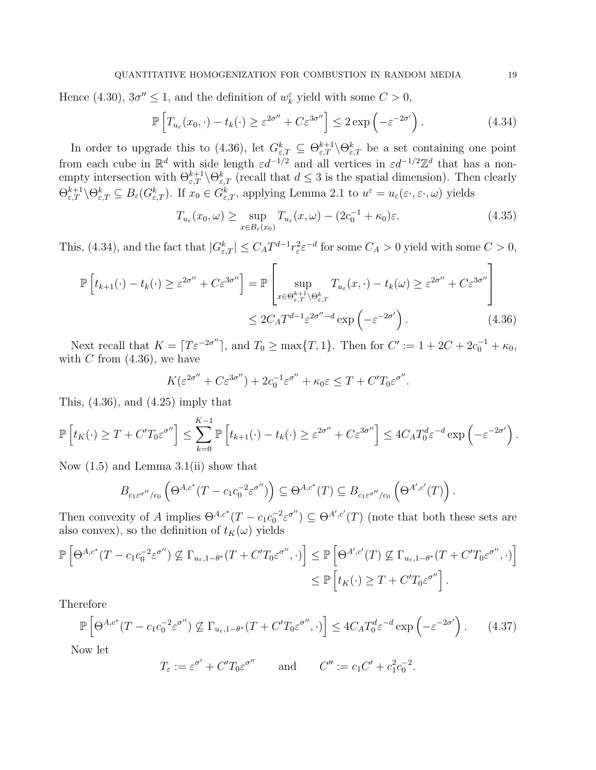Hence (4.30),  $3\sigma'' \le 1$ , and the definition of  $w_k^{\varepsilon}$  yield with some  $C > 0$ ,

$$
\mathbb{P}\left[T_{u_{\varepsilon}}(x_0,\cdot)-t_k(\cdot)\geq \varepsilon^{2\sigma''}+C\varepsilon^{3\sigma''}\right]\leq 2\exp\left(-\varepsilon^{-2\sigma'}\right). \tag{4.34}
$$

In order to upgrade this to (4.36), let  $G_{\varepsilon,T}^k \subseteq \Theta_{\varepsilon,T}^{k+1} \backslash \Theta_{\varepsilon,T}^k$  be a set containing one point from each cube in  $\mathbb{R}^d$  with side length  $\varepsilon d^{-1/2}$  and all vertices in  $\varepsilon d^{-1/2}\mathbb{Z}^d$  that has a nonempty intersection with  $\Theta_{\varepsilon,T}^{k+1} \setminus \Theta_{\varepsilon,T}^k$  (recall that  $d \leq 3$  is the spatial dimension). Then clearly  $\Theta_{\varepsilon,T}^{k+1} \setminus \Theta_{\varepsilon,T}^k \subseteq B_{\varepsilon}(G_{\varepsilon,T}^k)$ . If  $x_0 \in G_{\varepsilon,T}^k$ , applying Lemma 2.1 to  $u^{\varepsilon} = u_{\varepsilon}(\varepsilon \cdot, \varepsilon \cdot, \omega)$  yields

$$
T_{u_{\varepsilon}}(x_0, \omega) \ge \sup_{x \in B_{\varepsilon}(x_0)} T_{u_{\varepsilon}}(x, \omega) - (2c_0^{-1} + \kappa_0)\varepsilon. \tag{4.35}
$$

This, (4.34), and the fact that  $|G_{\varepsilon,T}^k| \leq C_A T^{d-1} r_{\varepsilon}^2 \varepsilon^{-d}$  for some  $C_A > 0$  yield with some  $C > 0$ ,

$$
\mathbb{P}\left[t_{k+1}(\cdot) - t_k(\cdot) \ge \varepsilon^{2\sigma''} + C\varepsilon^{3\sigma''}\right] = \mathbb{P}\left[\sup_{x \in \Theta_{\varepsilon,T}^{k+1} \setminus \Theta_{\varepsilon,T}^k} T_{u_{\varepsilon}}(x,\cdot) - t_k(\omega) \ge \varepsilon^{2\sigma''} + C\varepsilon^{3\sigma''}\right]
$$

$$
\le 2C_A T^{d-1} \varepsilon^{2\sigma'' - d} \exp\left(-\varepsilon^{-2\sigma'}\right). \tag{4.36}
$$

Next recall that  $K = \lceil T \varepsilon^{-2\sigma''} \rceil$ , and  $T_0 \ge \max\{T, 1\}$ . Then for  $C' := 1 + 2C + 2c_0^{-1} + \kappa_0$ , with  $C$  from  $(4.36)$ , we have

$$
K(\varepsilon^{2\sigma''} + C\varepsilon^{3\sigma''}) + 2c_0^{-1}\varepsilon^{\sigma''} + \kappa_0\varepsilon \le T + C'T_0\varepsilon^{\sigma''}.
$$

This,  $(4.36)$ , and  $(4.25)$  imply that

$$
\mathbb{P}\left[t_K(\cdot) \geq T + C'T_0\varepsilon^{\sigma''}\right] \leq \sum_{k=0}^{K-1} \mathbb{P}\left[t_{k+1}(\cdot) - t_k(\cdot) \geq \varepsilon^{2\sigma''} + C\varepsilon^{3\sigma''}\right] \leq 4C_A T_0^d \varepsilon^{-d} \exp\left(-\varepsilon^{-2\sigma'}\right).
$$

Now (1.5) and Lemma 3.1(ii) show that

$$
B_{c_1\varepsilon^{\sigma''}/c_0}\left(\Theta^{A,c^*}(T-c_1c_0^{-2}\varepsilon^{\sigma''})\right)\subseteq \Theta^{A,c^*}(T)\subseteq B_{c_1\varepsilon^{\sigma''}/c_0}\left(\Theta^{A',c'}(T)\right).
$$

Then convexity of A implies  $\Theta^{A,c^*}(T - c_1 c_0^{-2} \varepsilon^{\sigma''}) \subseteq \Theta^{A',c'}(T)$  (note that both these sets are also convex), so the definition of  $t_K(\omega)$  yields

$$
\mathbb{P}\left[\Theta^{A,c^*}(T-c_1c_0^{-2}\varepsilon^{\sigma''})\nsubseteq \Gamma_{u_{\varepsilon},1-\theta^*}(T+C'T_0\varepsilon^{\sigma''},\cdot)\right] \leq \mathbb{P}\left[\Theta^{A',c'}(T)\nsubseteq \Gamma_{u_{\varepsilon},1-\theta^*}(T+C'T_0\varepsilon^{\sigma''},\cdot)\right]
$$

$$
\leq \mathbb{P}\left[t_K(\cdot)\geq T+C'T_0\varepsilon^{\sigma''}\right].
$$

Therefore

$$
\mathbb{P}\left[\Theta^{A,c^*}(T - c_1 c_0^{-2} \varepsilon^{\sigma''}) \not\subseteq \Gamma_{u_{\varepsilon},1-\theta^*}(T + C'T_0 \varepsilon^{\sigma''},\cdot)\right] \le 4C_A T_0^d \varepsilon^{-d} \exp\left(-\varepsilon^{-2\sigma'}\right). \tag{4.37}
$$

Now let

$$
T_{\varepsilon} := \varepsilon^{\sigma'} + C'T_0 \varepsilon^{\sigma''}
$$
 and  $C'' := c_1 C' + c_1^2 c_0^{-2}$ .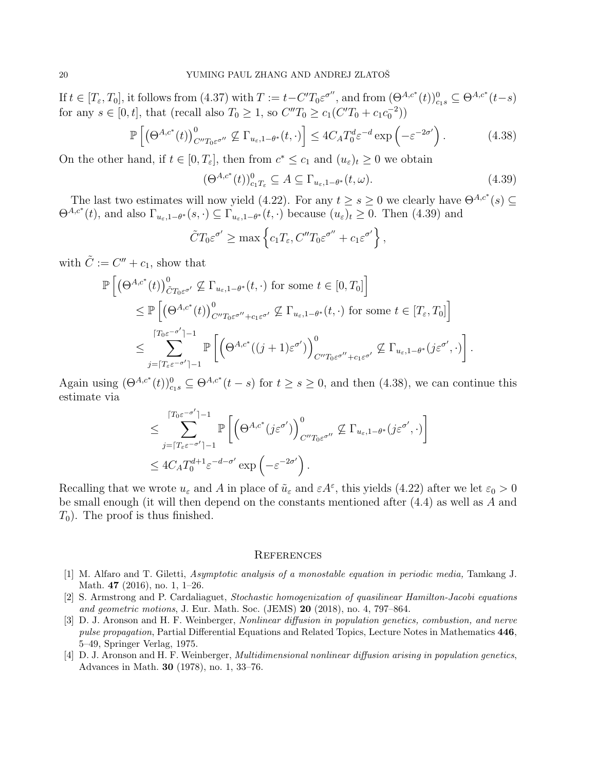If  $t \in [T_{\varepsilon}, T_0]$ , it follows from  $(4.37)$  with  $T := t - C'T_0 \varepsilon^{\sigma''}$ , and from  $(\Theta^{A,c^*}(t))_{c_1}^0 \subseteq \Theta^{A,c^*}(t-s)$ for any  $s \in [0, t]$ , that (recall also  $T_0 \ge 1$ , so  $C''T_0 \ge c_1(C'T_0 + c_1c_0^{-2}))$ 

$$
\mathbb{P}\left[\left(\Theta^{A,\varepsilon^*}(t)\right)^0_{C''T_0\varepsilon^{\sigma''}} \not\subseteq \Gamma_{u_{\varepsilon},1-\theta^*}(t,\cdot)\right] \le 4C_A T_0^d \varepsilon^{-d} \exp\left(-\varepsilon^{-2\sigma'}\right). \tag{4.38}
$$

On the other hand, if  $t \in [0, T_{\varepsilon}]$ , then from  $c^* \leq c_1$  and  $(u_{\varepsilon})_t \geq 0$  we obtain

$$
(\Theta^{A,c^*}(t))_{c_1T_{\varepsilon}}^0 \subseteq A \subseteq \Gamma_{u_{\varepsilon},1-\theta^*}(t,\omega). \tag{4.39}
$$

The last two estimates will now yield (4.22). For any  $t \geq s \geq 0$  we clearly have  $\Theta^{A,c^*}(s) \subseteq$  $\Theta^{A,c^*}(t)$ , and also  $\Gamma_{u_{\varepsilon},1-\theta^*}(s,\cdot) \subseteq \Gamma_{u_{\varepsilon},1-\theta^*}(t,\cdot)$  because  $(u_{\varepsilon})_t \geq 0$ . Then (4.39) and

$$
\tilde{C}T_0\varepsilon^{\sigma'} \ge \max\left\{c_1T_{\varepsilon}, C''T_0\varepsilon^{\sigma''} + c_1\varepsilon^{\sigma'}\right\},\,
$$

with  $\tilde{C} := C'' + c_1$ , show that

$$
\mathbb{P}\left[\left(\Theta^{A,c^*}(t)\right)^0_{\tilde{C}T_0\varepsilon^{\sigma'}}\nsubseteq\Gamma_{u_{\varepsilon},1-\theta^*}(t,\cdot)\text{ for some }t\in[0,T_0]\right] \leq \mathbb{P}\left[\left(\Theta^{A,c^*}(t)\right)^0_{C''T_0\varepsilon^{\sigma''}+c_1\varepsilon^{\sigma'}}\nsubseteq\Gamma_{u_{\varepsilon},1-\theta^*}(t,\cdot)\text{ for some }t\in[T_{\varepsilon},T_0]\right] \leq \sum_{j=\lceil T_{\varepsilon}\varepsilon^{-\sigma'}\rceil-1}^{\lceil T_0\varepsilon^{-\sigma'}\rceil-1}\mathbb{P}\left[\left(\Theta^{A,c^*}((j+1)\varepsilon^{\sigma'})\right)^0_{C''T_0\varepsilon^{\sigma''}+c_1\varepsilon^{\sigma'}}\nsubseteq\Gamma_{u_{\varepsilon},1-\theta^*}(j\varepsilon^{\sigma'},\cdot)\right].
$$

Again using  $(\Theta^{A,c^*}(t))_{c_1}^0 \subseteq \Theta^{A,c^*}(t-s)$  for  $t \geq s \geq 0$ , and then  $(4.38)$ , we can continue this estimate via

$$
\leq \sum_{j=\lceil T_{\varepsilon} \varepsilon^{-\sigma'} \rceil - 1}^{\lceil T_{0} \varepsilon^{-\sigma'} \rceil - 1} \mathbb{P}\left[\left(\Theta^{A,c^*}(j\varepsilon^{\sigma'})\right)_{C''T_{0}\varepsilon^{\sigma''}}^{0} \not\subseteq \Gamma_{u_{\varepsilon},1-\theta^*}(j\varepsilon^{\sigma'},\cdot)\right] \leq 4C_{A}T_{0}^{d+1}\varepsilon^{-d-\sigma'}\exp\left(-\varepsilon^{-2\sigma'}\right).
$$

Recalling that we wrote  $u_{\varepsilon}$  and A in place of  $\tilde{u}_{\varepsilon}$  and  $\varepsilon A^{\varepsilon}$ , this yields (4.22) after we let  $\varepsilon_0 > 0$ be small enough (it will then depend on the constants mentioned after  $(4.4)$  as well as A and  $T_0$ ). The proof is thus finished.

#### **REFERENCES**

- [1] M. Alfaro and T. Giletti, Asymptotic analysis of a monostable equation in periodic media, Tamkang J. Math. 47 (2016), no. 1, 1–26.
- [2] S. Armstrong and P. Cardaliaguet, Stochastic homogenization of quasilinear Hamilton-Jacobi equations and geometric motions, J. Eur. Math. Soc. (JEMS) **20** (2018), no. 4, 797–864.
- [3] D. J. Aronson and H. F. Weinberger, Nonlinear diffusion in population genetics, combustion, and nerve pulse propagation, Partial Differential Equations and Related Topics, Lecture Notes in Mathematics 446, 5–49, Springer Verlag, 1975.
- [4] D. J. Aronson and H. F. Weinberger, Multidimensional nonlinear diffusion arising in population genetics, Advances in Math. 30 (1978), no. 1, 33–76.